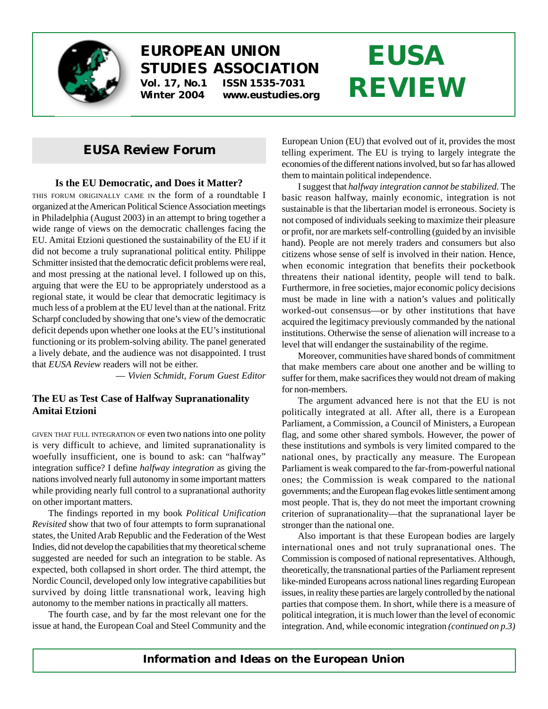

# **EUROPEAN UNION STUDIES ASSOCIATION Vol. 17, No.1 ISSN 1535-7031**

**Winter 2004 www.eustudies.org**

# **EUSA REVIEW**

# *EUSA Review* **Forum**

#### **Is the EU Democratic, and Does it Matter?**

THIS FORUM ORIGINALLY CAME IN the form of a roundtable I organized at the American Political Science Association meetings in Philadelphia (August 2003) in an attempt to bring together a wide range of views on the democratic challenges facing the EU. Amitai Etzioni questioned the sustainability of the EU if it did not become a truly supranational political entity. Philippe Schmitter insisted that the democratic deficit problems were real, and most pressing at the national level. I followed up on this, arguing that were the EU to be appropriately understood as a regional state, it would be clear that democratic legitimacy is much less of a problem at the EU level than at the national. Fritz Scharpf concluded by showing that one's view of the democratic deficit depends upon whether one looks at the EU's institutional functioning or its problem-solving ability. The panel generated a lively debate, and the audience was not disappointed. I trust that *EUSA Review* readers will not be either.

— *Vivien Schmidt, Forum Guest Editor*

### **The EU as Test Case of Halfway Supranationality Amitai Etzioni**

GIVEN THAT FULL INTEGRATION OF even two nations into one polity is very difficult to achieve, and limited supranationality is woefully insufficient, one is bound to ask: can "halfway" integration suffice? I define *halfway integration* as giving the nations involved nearly full autonomy in some important matters while providing nearly full control to a supranational authority on other important matters.

The findings reported in my book *Political Unification Revisited* show that two of four attempts to form supranational states, the United Arab Republic and the Federation of the West Indies, did not develop the capabilities that my theoretical scheme suggested are needed for such an integration to be stable. As expected, both collapsed in short order. The third attempt, the Nordic Council, developed only low integrative capabilities but survived by doing little transnational work, leaving high autonomy to the member nations in practically all matters.

The fourth case, and by far the most relevant one for the issue at hand, the European Coal and Steel Community and the European Union (EU) that evolved out of it, provides the most telling experiment. The EU is trying to largely integrate the economies of the different nations involved, but so far has allowed them to maintain political independence.

I suggest that *halfway integration cannot be stabilized.* The basic reason halfway, mainly economic, integration is not sustainable is that the libertarian model is erroneous. Society is not composed of individuals seeking to maximize their pleasure or profit, nor are markets self-controlling (guided by an invisible hand). People are not merely traders and consumers but also citizens whose sense of self is involved in their nation. Hence, when economic integration that benefits their pocketbook threatens their national identity, people will tend to balk. Furthermore, in free societies, major economic policy decisions must be made in line with a nation's values and politically worked-out consensus—or by other institutions that have acquired the legitimacy previously commanded by the national institutions. Otherwise the sense of alienation will increase to a level that will endanger the sustainability of the regime.

Moreover, communities have shared bonds of commitment that make members care about one another and be willing to suffer for them, make sacrifices they would not dream of making for non-members.

The argument advanced here is not that the EU is not politically integrated at all. After all, there is a European Parliament, a Commission, a Council of Ministers, a European flag, and some other shared symbols. However, the power of these institutions and symbols is very limited compared to the national ones, by practically any measure. The European Parliament is weak compared to the far-from-powerful national ones; the Commission is weak compared to the national governments; and the European flag evokes little sentiment among most people. That is, they do not meet the important crowning criterion of supranationality—that the supranational layer be stronger than the national one.

Also important is that these European bodies are largely international ones and not truly supranational ones. The Commission is composed of national representatives. Although, theoretically, the transnational parties of the Parliament represent like-minded Europeans across national lines regarding European issues, in reality these parties are largely controlled by the national parties that compose them. In short, while there is a measure of political integration, it is much lower than the level of economic integration. And, while economic integration *(continued on p.3)*

*Information and Ideas on the European Union*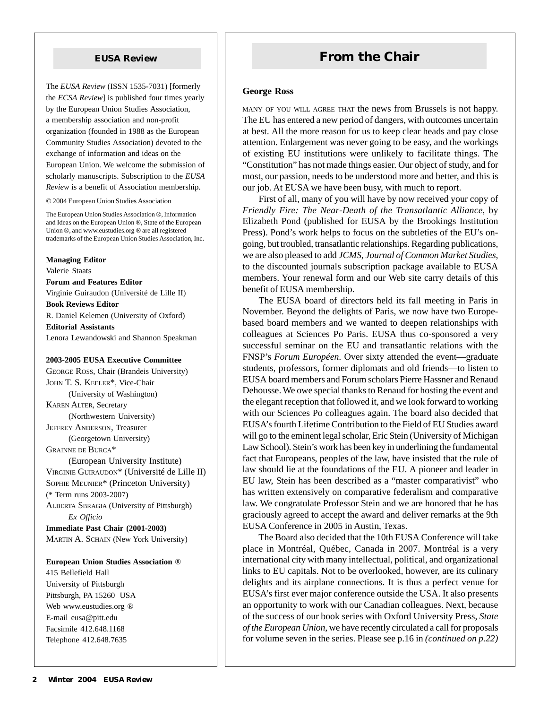The *EUSA Review* (ISSN 1535-7031) [formerly the *ECSA Review*] is published four times yearly by the European Union Studies Association, a membership association and non-profit organization (founded in 1988 as the European Community Studies Association) devoted to the exchange of information and ideas on the European Union. We welcome the submission of scholarly manuscripts. Subscription to the *EUSA Review* is a benefit of Association membership.

© 2004 European Union Studies Association

The European Union Studies Association ®, Information and Ideas on the European Union ®, State of the European Union ®, and www.eustudies.org ® are all registered trademarks of the European Union Studies Association, Inc.

**Managing Editor** Valerie Staats **Forum and Features Editor** Virginie Guiraudon (Université de Lille II) **Book Reviews Editor** R. Daniel Kelemen (University of Oxford) **Editorial Assistants** Lenora Lewandowski and Shannon Speakman

#### **2003-2005 EUSA Executive Committee**

GEORGE ROSS, Chair (Brandeis University) JOHN T. S. KEELER\*, Vice-Chair (University of Washington) KAREN ALTER, Secretary (Northwestern University) JEFFREY ANDERSON, Treasurer (Georgetown University) GRAINNE DE BURCA\* (European University Institute) VIRGINIE GUIRAUDON\* (Université de Lille II) SOPHIE MEUNIER\* (Princeton University) (\* Term runs 2003-2007) ALBERTA SBRAGIA (University of Pittsburgh)

*Ex Officio* **Immediate Past Chair (2001-2003)**

MARTIN A. SCHAIN (New York University)

#### **European Union Studies Association** ®

415 Bellefield Hall University of Pittsburgh Pittsburgh, PA 15260 USA Web www.eustudies.org ® E-mail eusa@pitt.edu Facsimile 412.648.1168 Telephone 412.648.7635

# **EUSA Review From the Chair**

#### **George Ross**

MANY OF YOU WILL AGREE THAT the news from Brussels is not happy. The EU has entered a new period of dangers, with outcomes uncertain at best. All the more reason for us to keep clear heads and pay close attention. Enlargement was never going to be easy, and the workings of existing EU institutions were unlikely to facilitate things. The "Constitution" has not made things easier. Our object of study, and for most, our passion, needs to be understood more and better, and this is our job. At EUSA we have been busy, with much to report.

First of all, many of you will have by now received your copy of *Friendly Fire: The Near-Death of the Transatlantic Alliance*, by Elizabeth Pond (published for EUSA by the Brookings Institution Press). Pond's work helps to focus on the subtleties of the EU's ongoing, but troubled, transatlantic relationships. Regarding publications, we are also pleased to add *JCMS, Journal of Common Market Studies*, to the discounted journals subscription package available to EUSA members. Your renewal form and our Web site carry details of this benefit of EUSA membership.

The EUSA board of directors held its fall meeting in Paris in November. Beyond the delights of Paris, we now have two Europebased board members and we wanted to deepen relationships with colleagues at Sciences Po Paris. EUSA thus co-sponsored a very successful seminar on the EU and transatlantic relations with the FNSP's *Forum Européen*. Over sixty attended the event—graduate students, professors, former diplomats and old friends—to listen to EUSA board members and Forum scholars Pierre Hassner and Renaud Dehousse. We owe special thanks to Renaud for hosting the event and the elegant reception that followed it, and we look forward to working with our Sciences Po colleagues again. The board also decided that EUSA's fourth Lifetime Contribution to the Field of EU Studies award will go to the eminent legal scholar, Eric Stein (University of Michigan Law School). Stein's work has been key in underlining the fundamental fact that Europeans, peoples of the law, have insisted that the rule of law should lie at the foundations of the EU. A pioneer and leader in EU law, Stein has been described as a "master comparativist" who has written extensively on comparative federalism and comparative law. We congratulate Professor Stein and we are honored that he has graciously agreed to accept the award and deliver remarks at the 9th EUSA Conference in 2005 in Austin, Texas.

The Board also decided that the 10th EUSA Conference will take place in Montréal, Québec, Canada in 2007. Montréal is a very international city with many intellectual, political, and organizational links to EU capitals. Not to be overlooked, however, are its culinary delights and its airplane connections. It is thus a perfect venue for EUSA's first ever major conference outside the USA. It also presents an opportunity to work with our Canadian colleagues. Next, because of the success of our book series with Oxford University Press, *State of the European Union*, we have recently circulated a call for proposals for volume seven in the series. Please see p.16 in *(continued on p.22)*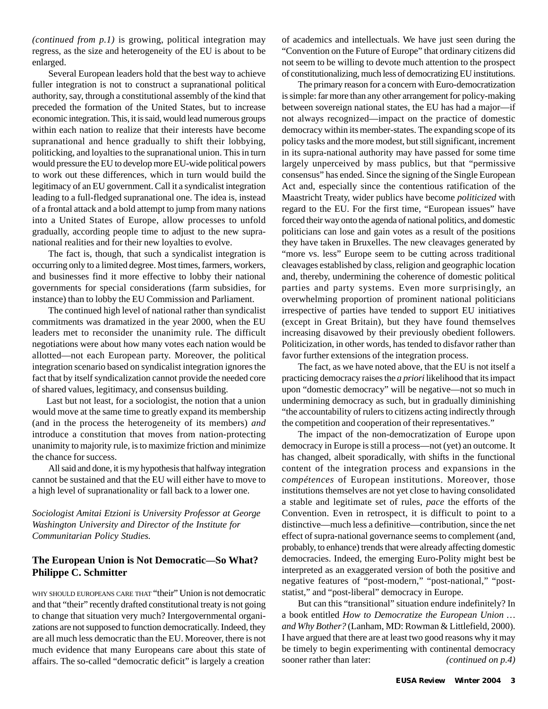*(continued from p.1)* is growing, political integration may regress, as the size and heterogeneity of the EU is about to be enlarged.

Several European leaders hold that the best way to achieve fuller integration is not to construct a supranational political authority, say, through a constitutional assembly of the kind that preceded the formation of the United States, but to increase economic integration. This, it is said, would lead numerous groups within each nation to realize that their interests have become supranational and hence gradually to shift their lobbying, politicking, and loyalties to the supranational union. This in turn would pressure the EU to develop more EU-wide political powers to work out these differences, which in turn would build the legitimacy of an EU government. Call it a syndicalist integration leading to a full-fledged supranational one. The idea is, instead of a frontal attack and a bold attempt to jump from many nations into a United States of Europe, allow processes to unfold gradually, according people time to adjust to the new supranational realities and for their new loyalties to evolve.

The fact is, though, that such a syndicalist integration is occurring only to a limited degree. Most times, farmers, workers, and businesses find it more effective to lobby their national governments for special considerations (farm subsidies, for instance) than to lobby the EU Commission and Parliament.

The continued high level of national rather than syndicalist commitments was dramatized in the year 2000, when the EU leaders met to reconsider the unanimity rule. The difficult negotiations were about how many votes each nation would be allotted—not each European party. Moreover, the political integration scenario based on syndicalist integration ignores the fact that by itself syndicalization cannot provide the needed core of shared values, legitimacy, and consensus building.

 Last but not least, for a sociologist, the notion that a union would move at the same time to greatly expand its membership (and in the process the heterogeneity of its members) *and* introduce a constitution that moves from nation-protecting unanimity to majority rule, is to maximize friction and minimize the chance for success.

All said and done, it is my hypothesis that halfway integration cannot be sustained and that the EU will either have to move to a high level of supranationality or fall back to a lower one.

*Sociologist Amitai Etzioni is University Professor at George Washington University and Director of the Institute for Communitarian Policy Studies.*

#### **The European Union is Not Democratic—So What? Philippe C. Schmitter**

WHY SHOULD EUROPEANS CARE THAT "their" Union is not democratic and that "their" recently drafted constitutional treaty is not going to change that situation very much? Intergovernmental organizations are not supposed to function democratically. Indeed, they are all much less democratic than the EU. Moreover, there is not much evidence that many Europeans care about this state of affairs. The so-called "democratic deficit" is largely a creation of academics and intellectuals. We have just seen during the "Convention on the Future of Europe" that ordinary citizens did not seem to be willing to devote much attention to the prospect of constitutionalizing, much less of democratizing EU institutions.

The primary reason for a concern with Euro-democratization is simple: far more than any other arrangement for policy-making between sovereign national states, the EU has had a major—if not always recognized—impact on the practice of domestic democracy within its member-states. The expanding scope of its policy tasks and the more modest, but still significant, increment in its supra-national authority may have passed for some time largely unperceived by mass publics, but that "permissive consensus" has ended. Since the signing of the Single European Act and, especially since the contentious ratification of the Maastricht Treaty, wider publics have become *politicized* with regard to the EU. For the first time, "European issues" have forced their way onto the agenda of national politics, and domestic politicians can lose and gain votes as a result of the positions they have taken in Bruxelles. The new cleavages generated by "more vs. less" Europe seem to be cutting across traditional cleavages established by class, religion and geographic location and, thereby, undermining the coherence of domestic political parties and party systems. Even more surprisingly, an overwhelming proportion of prominent national politicians irrespective of parties have tended to support EU initiatives (except in Great Britain), but they have found themselves increasing disavowed by their previously obedient followers. Politicization, in other words, has tended to disfavor rather than favor further extensions of the integration process.

The fact, as we have noted above, that the EU is not itself a practicing democracy raises the *a priori* likelihood that its impact upon "domestic democracy" will be negative—not so much in undermining democracy as such, but in gradually diminishing "the accountability of rulers to citizens acting indirectly through the competition and cooperation of their representatives."

The impact of the non-democratization of Europe upon democracy in Europe is still a process—not (yet) an outcome. It has changed, albeit sporadically, with shifts in the functional content of the integration process and expansions in the *compétences* of European institutions. Moreover, those institutions themselves are not yet close to having consolidated a stable and legitimate set of rules, *pace* the efforts of the Convention. Even in retrospect, it is difficult to point to a distinctive—much less a definitive—contribution, since the net effect of supra-national governance seems to complement (and, probably, to enhance) trends that were already affecting domestic democracies. Indeed, the emerging Euro-Polity might best be interpreted as an exaggerated version of both the positive and negative features of "post-modern," "post-national," "poststatist," and "post-liberal" democracy in Europe.

But can this "transitional" situation endure indefinitely? In a book entitled *How to Democratize the European Union … and Why Bother?* (Lanham, MD: Rowman & Littlefield, 2000). I have argued that there are at least two good reasons why it may be timely to begin experimenting with continental democracy sooner rather than later: *(continued on p.4)*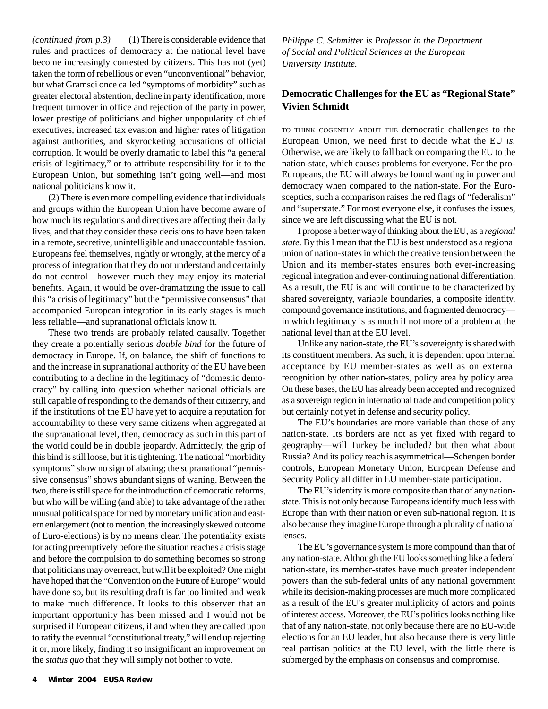*(continued from p.3)* (1) There is considerable evidence that rules and practices of democracy at the national level have become increasingly contested by citizens. This has not (yet) taken the form of rebellious or even "unconventional" behavior, but what Gramsci once called "symptoms of morbidity" such as greater electoral abstention, decline in party identification, more frequent turnover in office and rejection of the party in power, lower prestige of politicians and higher unpopularity of chief executives, increased tax evasion and higher rates of litigation against authorities, and skyrocketing accusations of official corruption. It would be overly dramatic to label this "a general crisis of legitimacy," or to attribute responsibility for it to the European Union, but something isn't going well—and most national politicians know it.

(2) There is even more compelling evidence that individuals and groups within the European Union have become aware of how much its regulations and directives are affecting their daily lives, and that they consider these decisions to have been taken in a remote, secretive, unintelligible and unaccountable fashion. Europeans feel themselves, rightly or wrongly, at the mercy of a process of integration that they do not understand and certainly do not control—however much they may enjoy its material benefits. Again, it would be over-dramatizing the issue to call this "a crisis of legitimacy" but the "permissive consensus" that accompanied European integration in its early stages is much less reliable—and supranational officials know it.

These two trends are probably related causally. Together they create a potentially serious *double bind* for the future of democracy in Europe. If, on balance, the shift of functions to and the increase in supranational authority of the EU have been contributing to a decline in the legitimacy of "domestic democracy" by calling into question whether national officials are still capable of responding to the demands of their citizenry, and if the institutions of the EU have yet to acquire a reputation for accountability to these very same citizens when aggregated at the supranational level, then, democracy as such in this part of the world could be in double jeopardy. Admittedly, the grip of this bind is still loose, but it is tightening. The national "morbidity symptoms" show no sign of abating; the supranational "permissive consensus" shows abundant signs of waning. Between the two, there is still space for the introduction of democratic reforms, but who will be willing (and able) to take advantage of the rather unusual political space formed by monetary unification and eastern enlargement (not to mention, the increasingly skewed outcome of Euro-elections) is by no means clear. The potentiality exists for acting preemptively before the situation reaches a crisis stage and before the compulsion to do something becomes so strong that politicians may overreact, but will it be exploited? One might have hoped that the "Convention on the Future of Europe" would have done so, but its resulting draft is far too limited and weak to make much difference. It looks to this observer that an important opportunity has been missed and I would not be surprised if European citizens, if and when they are called upon to ratify the eventual "constitutional treaty," will end up rejecting it or, more likely, finding it so insignificant an improvement on the *status quo* that they will simply not bother to vote.

*Philippe C. Schmitter is Professor in the Department of Social and Political Sciences at the European University Institute.*

#### **Democratic Challenges for the EU as "Regional State" Vivien Schmidt**

TO THINK COGENTLY ABOUT THE democratic challenges to the European Union, we need first to decide what the EU *is.* Otherwise, we are likely to fall back on comparing the EU to the nation-state, which causes problems for everyone. For the pro-Europeans, the EU will always be found wanting in power and democracy when compared to the nation-state. For the Eurosceptics, such a comparison raises the red flags of "federalism" and "superstate." For most everyone else, it confuses the issues, since we are left discussing what the EU is not.

I propose a better way of thinking about the EU, as a *regional state.* By this I mean that the EU is best understood as a regional union of nation-states in which the creative tension between the Union and its member-states ensures both ever-increasing regional integration and ever-continuing national differentiation. As a result, the EU is and will continue to be characterized by shared sovereignty, variable boundaries, a composite identity, compound governance institutions, and fragmented democracy in which legitimacy is as much if not more of a problem at the national level than at the EU level.

Unlike any nation-state, the EU's sovereignty is shared with its constituent members. As such, it is dependent upon internal acceptance by EU member-states as well as on external recognition by other nation-states, policy area by policy area. On these bases, the EU has already been accepted and recognized as a sovereign region in international trade and competition policy but certainly not yet in defense and security policy.

The EU's boundaries are more variable than those of any nation-state. Its borders are not as yet fixed with regard to geography—will Turkey be included? but then what about Russia? And its policy reach is asymmetrical—Schengen border controls, European Monetary Union, European Defense and Security Policy all differ in EU member-state participation.

The EU's identity is more composite than that of any nationstate. This is not only because Europeans identify much less with Europe than with their nation or even sub-national region. It is also because they imagine Europe through a plurality of national lenses.

The EU's governance system is more compound than that of any nation-state. Although the EU looks something like a federal nation-state, its member-states have much greater independent powers than the sub-federal units of any national government while its decision-making processes are much more complicated as a result of the EU's greater multiplicity of actors and points of interest access. Moreover, the EU's politics looks nothing like that of any nation-state, not only because there are no EU-wide elections for an EU leader, but also because there is very little real partisan politics at the EU level, with the little there is submerged by the emphasis on consensus and compromise.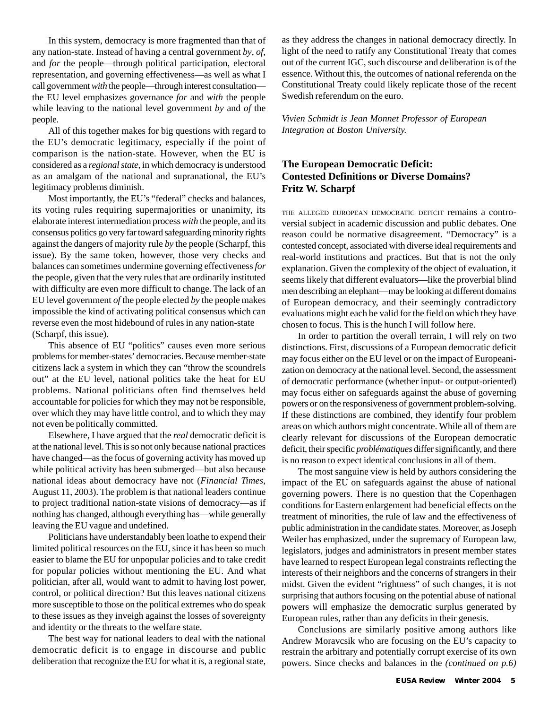In this system, democracy is more fragmented than that of any nation-state. Instead of having a central government *by*, *of*, and *for* the people—through political participation, electoral representation, and governing effectiveness—as well as what I call government *with* the people—through interest consultation the EU level emphasizes governance *for* and *with* the people while leaving to the national level government *by* and *of* the people.

All of this together makes for big questions with regard to the EU's democratic legitimacy, especially if the point of comparison is the nation-state. However, when the EU is considered as a *regional state*, in which democracy is understood as an amalgam of the national and supranational, the EU's legitimacy problems diminish.

Most importantly, the EU's "federal" checks and balances, its voting rules requiring supermajorities or unanimity, its elaborate interest intermediation process *with* the people, and its consensus politics go very far toward safeguarding minority rights against the dangers of majority rule *by* the people (Scharpf, this issue). By the same token, however, those very checks and balances can sometimes undermine governing effectiveness *for* the people, given that the very rules that are ordinarily instituted with difficulty are even more difficult to change. The lack of an EU level government *of* the people elected *by* the people makes impossible the kind of activating political consensus which can reverse even the most hidebound of rules in any nation-state (Scharpf, this issue).

This absence of EU "politics" causes even more serious problems for member-states' democracies. Because member-state citizens lack a system in which they can "throw the scoundrels out" at the EU level, national politics take the heat for EU problems. National politicians often find themselves held accountable for policies for which they may not be responsible, over which they may have little control, and to which they may not even be politically committed.

Elsewhere, I have argued that the *real* democratic deficit is at the national level. This is so not only because national practices have changed—as the focus of governing activity has moved up while political activity has been submerged—but also because national ideas about democracy have not (*Financial Times*, August 11, 2003). The problem is that national leaders continue to project traditional nation-state visions of democracy—as if nothing has changed, although everything has—while generally leaving the EU vague and undefined.

Politicians have understandably been loathe to expend their limited political resources on the EU, since it has been so much easier to blame the EU for unpopular policies and to take credit for popular policies without mentioning the EU. And what politician, after all, would want to admit to having lost power, control, or political direction? But this leaves national citizens more susceptible to those on the political extremes who do speak to these issues as they inveigh against the losses of sovereignty and identity or the threats to the welfare state.

The best way for national leaders to deal with the national democratic deficit is to engage in discourse and public deliberation that recognize the EU for what it *is*, a regional state, as they address the changes in national democracy directly. In light of the need to ratify any Constitutional Treaty that comes out of the current IGC, such discourse and deliberation is of the essence. Without this, the outcomes of national referenda on the Constitutional Treaty could likely replicate those of the recent Swedish referendum on the euro.

*Vivien Schmidt is Jean Monnet Professor of European Integration at Boston University.*

#### **The European Democratic Deficit: Contested Definitions or Diverse Domains? Fritz W. Scharpf**

THE ALLEGED EUROPEAN DEMOCRATIC DEFICIT remains a controversial subject in academic discussion and public debates. One reason could be normative disagreement. "Democracy" is a contested concept, associated with diverse ideal requirements and real-world institutions and practices. But that is not the only explanation. Given the complexity of the object of evaluation, it seems likely that different evaluators—like the proverbial blind men describing an elephant—may be looking at different domains of European democracy, and their seemingly contradictory evaluations might each be valid for the field on which they have chosen to focus. This is the hunch I will follow here.

In order to partition the overall terrain, I will rely on two distinctions. First, discussions of a European democratic deficit may focus either on the EU level or on the impact of Europeanization on democracy at the national level. Second, the assessment of democratic performance (whether input- or output-oriented) may focus either on safeguards against the abuse of governing powers or on the responsiveness of government problem-solving. If these distinctions are combined, they identify four problem areas on which authors might concentrate. While all of them are clearly relevant for discussions of the European democratic deficit, their specific *problématiques* differ significantly, and there is no reason to expect identical conclusions in all of them.

The most sanguine view is held by authors considering the impact of the EU on safeguards against the abuse of national governing powers. There is no question that the Copenhagen conditions for Eastern enlargement had beneficial effects on the treatment of minorities, the rule of law and the effectiveness of public administration in the candidate states. Moreover, as Joseph Weiler has emphasized, under the supremacy of European law, legislators, judges and administrators in present member states have learned to respect European legal constraints reflecting the interests of their neighbors and the concerns of strangers in their midst. Given the evident "rightness" of such changes, it is not surprising that authors focusing on the potential abuse of national powers will emphasize the democratic surplus generated by European rules, rather than any deficits in their genesis.

Conclusions are similarly positive among authors like Andrew Moravcsik who are focusing on the EU's capacity to restrain the arbitrary and potentially corrupt exercise of its own powers. Since checks and balances in the *(continued on p.6)*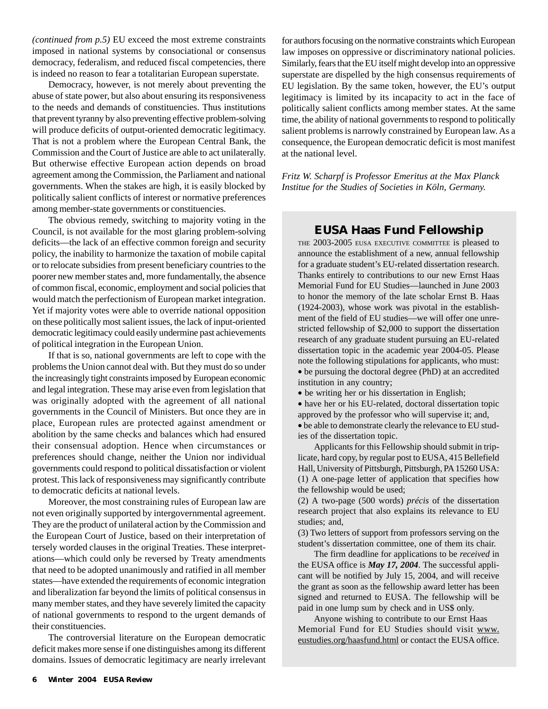*(continued from p.5)* EU exceed the most extreme constraints imposed in national systems by consociational or consensus democracy, federalism, and reduced fiscal competencies, there is indeed no reason to fear a totalitarian European superstate.

Democracy, however, is not merely about preventing the abuse of state power, but also about ensuring its responsiveness to the needs and demands of constituencies. Thus institutions that prevent tyranny by also preventing effective problem-solving will produce deficits of output-oriented democratic legitimacy. That is not a problem where the European Central Bank, the Commission and the Court of Justice are able to act unilaterally. But otherwise effective European action depends on broad agreement among the Commission, the Parliament and national governments. When the stakes are high, it is easily blocked by politically salient conflicts of interest or normative preferences among member-state governments or constituencies.

The obvious remedy, switching to majority voting in the Council, is not available for the most glaring problem-solving deficits—the lack of an effective common foreign and security policy, the inability to harmonize the taxation of mobile capital or to relocate subsidies from present beneficiary countries to the poorer new member states and, more fundamentally, the absence of common fiscal, economic, employment and social policies that would match the perfectionism of European market integration. Yet if majority votes were able to override national opposition on these politically most salient issues, the lack of input-oriented democratic legitimacy could easily undermine past achievements of political integration in the European Union.

If that is so, national governments are left to cope with the problems the Union cannot deal with. But they must do so under the increasingly tight constraints imposed by European economic and legal integration. These may arise even from legislation that was originally adopted with the agreement of all national governments in the Council of Ministers. But once they are in place, European rules are protected against amendment or abolition by the same checks and balances which had ensured their consensual adoption. Hence when circumstances or preferences should change, neither the Union nor individual governments could respond to political dissatisfaction or violent protest. This lack of responsiveness may significantly contribute to democratic deficits at national levels.

Moreover, the most constraining rules of European law are not even originally supported by intergovernmental agreement. They are the product of unilateral action by the Commission and the European Court of Justice, based on their interpretation of tersely worded clauses in the original Treaties. These interpretations—which could only be reversed by Treaty amendments that need to be adopted unanimously and ratified in all member states—have extended the requirements of economic integration and liberalization far beyond the limits of political consensus in many member states, and they have severely limited the capacity of national governments to respond to the urgent demands of their constituencies.

The controversial literature on the European democratic deficit makes more sense if one distinguishes among its different domains. Issues of democratic legitimacy are nearly irrelevant

for authors focusing on the normative constraints which European law imposes on oppressive or discriminatory national policies. Similarly, fears that the EU itself might develop into an oppressive superstate are dispelled by the high consensus requirements of EU legislation. By the same token, however, the EU's output legitimacy is limited by its incapacity to act in the face of politically salient conflicts among member states. At the same time, the ability of national governments to respond to politically salient problems is narrowly constrained by European law. As a consequence, the European democratic deficit is most manifest at the national level.

*Fritz W. Scharpf is Professor Emeritus at the Max Planck Institue for the Studies of Societies in Köln, Germany.*

### **EUSA Haas Fund Fellowship**

THE 2003-2005 EUSA EXECUTIVE COMMITTEE is pleased to announce the establishment of a new, annual fellowship for a graduate student's EU-related dissertation research. Thanks entirely to contributions to our new Ernst Haas Memorial Fund for EU Studies—launched in June 2003 to honor the memory of the late scholar Ernst B. Haas (1924-2003), whose work was pivotal in the establishment of the field of EU studies—we will offer one unrestricted fellowship of \$2,000 to support the dissertation research of any graduate student pursuing an EU-related dissertation topic in the academic year 2004-05. Please note the following stipulations for applicants, who must: • be pursuing the doctoral degree (PhD) at an accredited institution in any country;

• be writing her or his dissertation in English;

• have her or his EU-related, doctoral dissertation topic approved by the professor who will supervise it; and,

• be able to demonstrate clearly the relevance to EU studies of the dissertation topic.

Applicants for this Fellowship should submit in triplicate, hard copy, by regular post to EUSA, 415 Bellefield Hall, University of Pittsburgh, Pittsburgh, PA 15260 USA: (1) A one-page letter of application that specifies how the fellowship would be used;

(2) A two-page (500 words) *précis* of the dissertation research project that also explains its relevance to EU studies; and,

(3) Two letters of support from professors serving on the student's dissertation committee, one of them its chair.

The firm deadline for applications to be *received* in the EUSA office is *May 17, 2004*. The successful applicant will be notified by July 15, 2004, and will receive the grant as soon as the fellowship award letter has been signed and returned to EUSA. The fellowship will be paid in one lump sum by check and in US\$ only.

Anyone wishing to contribute to our Ernst Haas Memorial Fund for EU Studies should visit www. eustudies.org/haasfund.html or contact the EUSA office.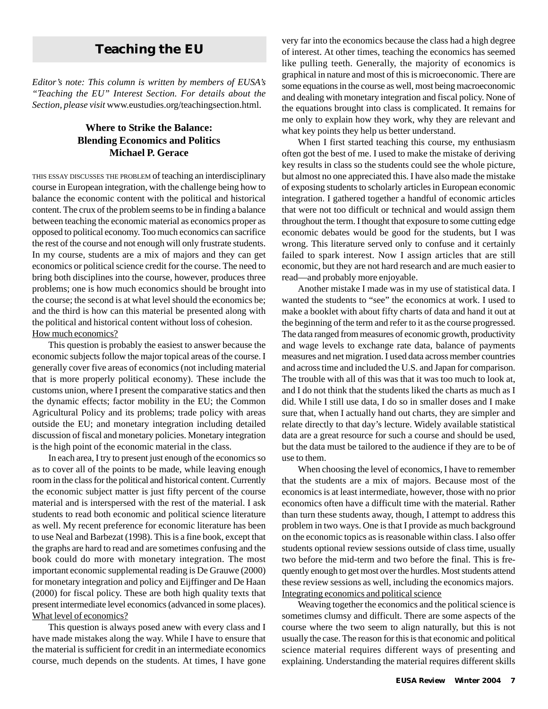*Editor's note: This column is written by members of EUSA's "Teaching the EU" Interest Section. For details about the Section, please visit* www.eustudies.org/teachingsection.html.

#### **Where to Strike the Balance: Blending Economics and Politics Michael P. Gerace**

THIS ESSAY DISCUSSES THE PROBLEM of teaching an interdisciplinary course in European integration, with the challenge being how to balance the economic content with the political and historical content. The crux of the problem seems to be in finding a balance between teaching the economic material as economics proper as opposed to political economy. Too much economics can sacrifice the rest of the course and not enough will only frustrate students. In my course, students are a mix of majors and they can get economics or political science credit for the course. The need to bring both disciplines into the course, however, produces three problems; one is how much economics should be brought into the course; the second is at what level should the economics be; and the third is how can this material be presented along with the political and historical content without loss of cohesion. How much economics?

This question is probably the easiest to answer because the economic subjects follow the major topical areas of the course. I generally cover five areas of economics (not including material that is more properly political economy). These include the customs union, where I present the comparative statics and then the dynamic effects; factor mobility in the EU; the Common Agricultural Policy and its problems; trade policy with areas outside the EU; and monetary integration including detailed discussion of fiscal and monetary policies. Monetary integration is the high point of the economic material in the class.

In each area, I try to present just enough of the economics so as to cover all of the points to be made, while leaving enough room in the class for the political and historical content. Currently the economic subject matter is just fifty percent of the course material and is interspersed with the rest of the material. I ask students to read both economic and political science literature as well. My recent preference for economic literature has been to use Neal and Barbezat (1998). This is a fine book, except that the graphs are hard to read and are sometimes confusing and the book could do more with monetary integration. The most important economic supplemental reading is De Grauwe (2000) for monetary integration and policy and Eijffinger and De Haan (2000) for fiscal policy. These are both high quality texts that present intermediate level economics (advanced in some places). What level of economics?

This question is always posed anew with every class and I have made mistakes along the way. While I have to ensure that the material is sufficient for credit in an intermediate economics course, much depends on the students. At times, I have gone

**Teaching the EU** very far into the economics because the class had a high degree<br>of interest. At other times, teaching the economics has seemed of interest. At other times, teaching the economics has seemed like pulling teeth. Generally, the majority of economics is graphical in nature and most of this is microeconomic. There are some equations in the course as well, most being macroeconomic and dealing with monetary integration and fiscal policy. None of the equations brought into class is complicated. It remains for me only to explain how they work, why they are relevant and what key points they help us better understand.

> When I first started teaching this course, my enthusiasm often got the best of me. I used to make the mistake of deriving key results in class so the students could see the whole picture, but almost no one appreciated this. I have also made the mistake of exposing students to scholarly articles in European economic integration. I gathered together a handful of economic articles that were not too difficult or technical and would assign them throughout the term. I thought that exposure to some cutting edge economic debates would be good for the students, but I was wrong. This literature served only to confuse and it certainly failed to spark interest. Now I assign articles that are still economic, but they are not hard research and are much easier to read—and probably more enjoyable.

> Another mistake I made was in my use of statistical data. I wanted the students to "see" the economics at work. I used to make a booklet with about fifty charts of data and hand it out at the beginning of the term and refer to it as the course progressed. The data ranged from measures of economic growth, productivity and wage levels to exchange rate data, balance of payments measures and net migration. I used data across member countries and across time and included the U.S. and Japan for comparison. The trouble with all of this was that it was too much to look at, and I do not think that the students liked the charts as much as I did. While I still use data, I do so in smaller doses and I make sure that, when I actually hand out charts, they are simpler and relate directly to that day's lecture. Widely available statistical data are a great resource for such a course and should be used, but the data must be tailored to the audience if they are to be of use to them.

> When choosing the level of economics, I have to remember that the students are a mix of majors. Because most of the economics is at least intermediate, however, those with no prior economics often have a difficult time with the material. Rather than turn these students away, though, I attempt to address this problem in two ways. One is that I provide as much background on the economic topics as is reasonable within class. I also offer students optional review sessions outside of class time, usually two before the mid-term and two before the final. This is frequently enough to get most over the hurdles. Most students attend these review sessions as well, including the economics majors. Integrating economics and political science

> Weaving together the economics and the political science is sometimes clumsy and difficult. There are some aspects of the course where the two seem to align naturally, but this is not usually the case. The reason for this is that economic and political science material requires different ways of presenting and explaining. Understanding the material requires different skills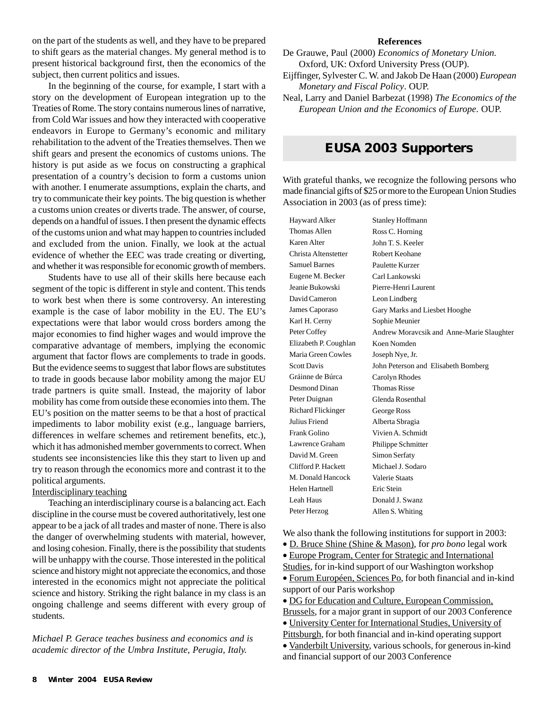on the part of the students as well, and they have to be prepared to shift gears as the material changes. My general method is to present historical background first, then the economics of the subject, then current politics and issues.

In the beginning of the course, for example, I start with a story on the development of European integration up to the Treaties of Rome. The story contains numerous lines of narrative, from Cold War issues and how they interacted with cooperative endeavors in Europe to Germany's economic and military rehabilitation to the advent of the Treaties themselves. Then we shift gears and present the economics of customs unions. The history is put aside as we focus on constructing a graphical presentation of a country's decision to form a customs union with another. I enumerate assumptions, explain the charts, and try to communicate their key points. The big question is whether a customs union creates or diverts trade. The answer, of course, depends on a handful of issues. I then present the dynamic effects of the customs union and what may happen to countries included and excluded from the union. Finally, we look at the actual evidence of whether the EEC was trade creating or diverting, and whether it was responsible for economic growth of members.

Students have to use all of their skills here because each segment of the topic is different in style and content. This tends to work best when there is some controversy. An interesting example is the case of labor mobility in the EU. The EU's expectations were that labor would cross borders among the major economies to find higher wages and would improve the comparative advantage of members, implying the economic argument that factor flows are complements to trade in goods. But the evidence seems to suggest that labor flows are substitutes to trade in goods because labor mobility among the major EU trade partners is quite small. Instead, the majority of labor mobility has come from outside these economies into them. The EU's position on the matter seems to be that a host of practical impediments to labor mobility exist (e.g., language barriers, differences in welfare schemes and retirement benefits, etc.), which it has admonished member governments to correct. When students see inconsistencies like this they start to liven up and try to reason through the economics more and contrast it to the political arguments.

#### Interdisciplinary teaching

Teaching an interdisciplinary course is a balancing act. Each discipline in the course must be covered authoritatively, lest one appear to be a jack of all trades and master of none. There is also the danger of overwhelming students with material, however, and losing cohesion. Finally, there is the possibility that students will be unhappy with the course. Those interested in the political science and history might not appreciate the economics, and those interested in the economics might not appreciate the political science and history. Striking the right balance in my class is an ongoing challenge and seems different with every group of students.

*Michael P. Gerace teaches business and economics and is academic director of the Umbra Institute, Perugia, Italy.*

#### **References**

- De Grauwe, Paul (2000) *Economics of Monetary Union.* Oxford, UK: Oxford University Press (OUP).
- Eijffinger, Sylvester C. W. and Jakob De Haan (2000) *European Monetary and Fiscal Policy*. OUP.
- Neal, Larry and Daniel Barbezat (1998) *The Economics of the European Union and the Economics of Europe*. OUP.

## **EUSA 2003 Supporters**

With grateful thanks, we recognize the following persons who made financial gifts of \$25 or more to the European Union Studies Association in 2003 (as of press time):

Hayward Alker Thomas Allen Karen Alter Christa Altenstetter Samuel Barnes Eugene M. Becker Jeanie Bukowski David Cameron James Caporaso Karl H. Cerny Peter Coffey Elizabeth P. Coughlan Maria Green Cowles Scott Davis Gráinne de Búrca Desmond Dinan Peter Duignan Richard Flickinger Julius Friend Frank Golino Lawrence Graham David M. Green Clifford P. Hackett M. Donald Hancock Helen Hartnell Leah Haus Peter Herzog Stanley Hoffmann Ross C. Horning John T. S. Keeler Robert Keohane Paulette Kurzer Carl Lankowski Pierre-Henri Laurent Leon Lindberg Gary Marks and Liesbet Hooghe Sophie Meunier Andrew Moravcsik and Anne-Marie Slaughter Koen Nomden Joseph Nye, Jr. John Peterson and Elisabeth Bomberg Carolyn Rhodes Thomas Risse Glenda Rosenthal George Ross Alberta Sbragia Vivien A. Schmidt Philippe Schmitter Simon Serfaty Michael J. Sodaro Valerie Staats Eric Stein Donald J. Swanz Allen S. Whiting

We also thank the following institutions for support in 2003:

- D. Bruce Shine (Shine & Mason), for *pro bono* legal work
- Europe Program, Center for Strategic and International
- Studies, for in-kind support of our Washington workshop
- Forum Européen, Sciences Po, for both financial and in-kind support of our Paris workshop
- DG for Education and Culture, European Commission,
- Brussels, for a major grant in support of our 2003 Conference
- University Center for International Studies, University of
- Pittsburgh, for both financial and in-kind operating support • Vanderbilt University, various schools, for generous in-kind
- and financial support of our 2003 Conference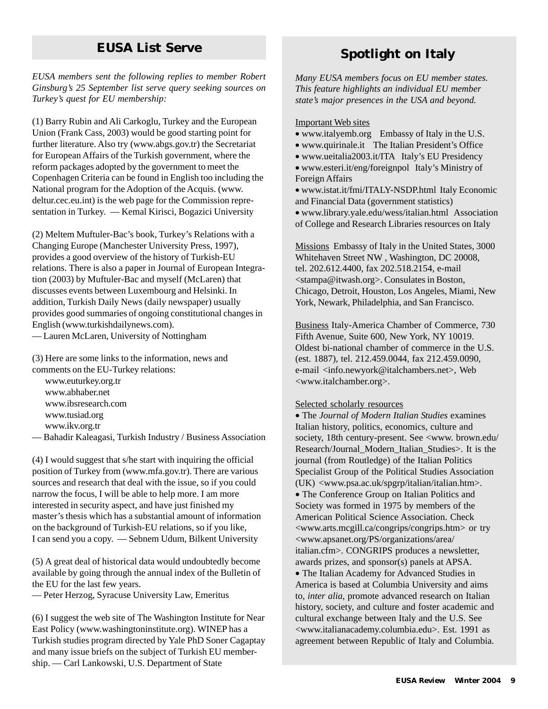# **EUSA List Serve**

*EUSA members sent the following replies to member Robert Ginsburg's 25 September list serve query seeking sources on Turkey's quest for EU membership:*

(1) Barry Rubin and Ali Carkoglu, Turkey and the European Union (Frank Cass, 2003) would be good starting point for further literature. Also try (www.abgs.gov.tr) the Secretariat for European Affairs of the Turkish government, where the reform packages adopted by the government to meet the Copenhagen Criteria can be found in English too including the National program for the Adoption of the Acquis. (www. deltur.cec.eu.int) is the web page for the Commission representation in Turkey. — Kemal Kirisci, Bogazici University

(2) Meltem Muftuler-Bac's book, Turkey's Relations with a Changing Europe (Manchester University Press, 1997), provides a good overview of the history of Turkish-EU relations. There is also a paper in Journal of European Integration (2003) by Muftuler-Bac and myself (McLaren) that discusses events between Luxembourg and Helsinki. In addition, Turkish Daily News (daily newspaper) usually provides good summaries of ongoing constitutional changes in English (www.turkishdailynews.com).

— Lauren McLaren, University of Nottingham

(3) Here are some links to the information, news and comments on the EU-Turkey relations:

www.euturkey.org.tr www.abhaber.net www.ibsresearch.com www.tusiad.org

www.ikv.org.tr

— Bahadir Kaleagasi, Turkish Industry / Business Association

(4) I would suggest that s/he start with inquiring the official position of Turkey from (www.mfa.gov.tr). There are various sources and research that deal with the issue, so if you could narrow the focus, I will be able to help more. I am more interested in security aspect, and have just finished my master's thesis which has a substantial amount of information on the background of Turkish-EU relations, so if you like, I can send you a copy. — Sebnem Udum, Bilkent University

(5) A great deal of historical data would undoubtedly become available by going through the annual index of the Bulletin of the EU for the last few years.

— Peter Herzog, Syracuse University Law, Emeritus

(6) I suggest the web site of The Washington Institute for Near East Policy (www.washingtoninstitute.org). WINEP has a Turkish studies program directed by Yale PhD Soner Cagaptay and many issue briefs on the subject of Turkish EU membership. — Carl Lankowski, U.S. Department of State

# **Spotlight on Italy**

*Many EUSA members focus on EU member states. This feature highlights an individual EU member state's major presences in the USA and beyond.*

#### Important Web sites

- www.italyemb.org Embassy of Italy in the U.S.
- www.quirinale.it The Italian President's Office
- www.ueitalia2003.it/ITA Italy's EU Presidency
- www.esteri.it/eng/foreignpol Italy's Ministry of Foreign Affairs

• www.istat.it/fmi/ITALY-NSDP.html Italy Economic and Financial Data (government statistics)

• www.library.yale.edu/wess/italian.html Association of College and Research Libraries resources on Italy

Missions Embassy of Italy in the United States, 3000 Whitehaven Street NW , Washington, DC 20008, tel. 202.612.4400, fax 202.518.2154, e-mail <stampa@itwash.org>. Consulates in Boston, Chicago, Detroit, Houston, Los Angeles, Miami, New York, Newark, Philadelphia, and San Francisco.

Business Italy-America Chamber of Commerce, 730 Fifth Avenue, Suite 600, New York, NY 10019. Oldest bi-national chamber of commerce in the U.S. (est. 1887), tel. 212.459.0044, fax 212.459.0090, e-mail <info.newyork@italchambers.net>, Web <www.italchamber.org>.

#### Selected scholarly resources

• The *Journal of Modern Italian Studies* examines Italian history, politics, economics, culture and society, 18th century-present. See <www. brown.edu/ Research/Journal\_Modern\_Italian\_Studies>. It is the journal (from Routledge) of the Italian Politics Specialist Group of the Political Studies Association (UK) <www.psa.ac.uk/spgrp/italian/italian.htm>.

• The Conference Group on Italian Politics and Society was formed in 1975 by members of the American Political Science Association. Check <www.arts.mcgill.ca/congrips/congrips.htm> or try <www.apsanet.org/PS/organizations/area/ italian.cfm>. CONGRIPS produces a newsletter, awards prizes, and sponsor(s) panels at APSA.

• The Italian Academy for Advanced Studies in America is based at Columbia University and aims to, *inter alia*, promote advanced research on Italian history, society, and culture and foster academic and cultural exchange between Italy and the U.S. See <www.italianacademy.columbia.edu>. Est. 1991 as agreement between Republic of Italy and Columbia.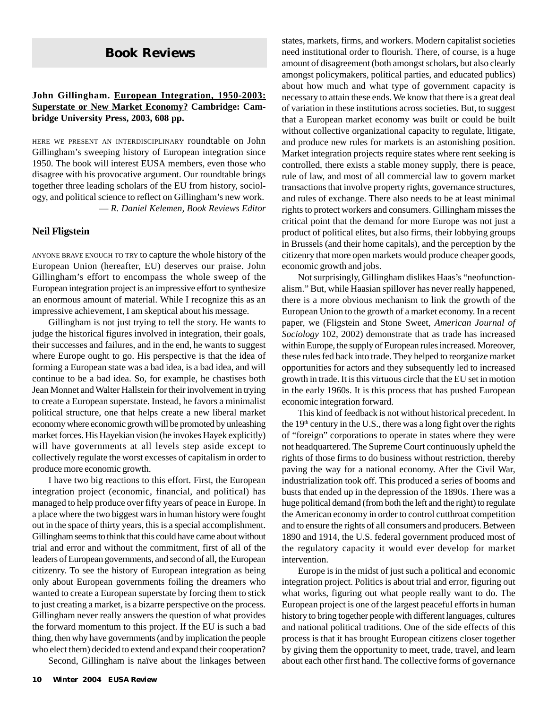# **Book Reviews**

#### **John Gillingham. European Integration, 1950-2003: Superstate or New Market Economy? Cambridge: Cambridge University Press, 2003, 608 pp.**

HERE WE PRESENT AN INTERDISCIPLINARY roundtable on John Gillingham's sweeping history of European integration since 1950. The book will interest EUSA members, even those who disagree with his provocative argument. Our roundtable brings together three leading scholars of the EU from history, sociology, and political science to reflect on Gillingham's new work. — *R. Daniel Kelemen, Book Reviews Editor*

#### **Neil Fligstein**

ANYONE BRAVE ENOUGH TO TRY to capture the whole history of the European Union (hereafter, EU) deserves our praise. John Gillingham's effort to encompass the whole sweep of the European integration project is an impressive effort to synthesize an enormous amount of material. While I recognize this as an impressive achievement, I am skeptical about his message.

Gillingham is not just trying to tell the story. He wants to judge the historical figures involved in integration, their goals, their successes and failures, and in the end, he wants to suggest where Europe ought to go. His perspective is that the idea of forming a European state was a bad idea, is a bad idea, and will continue to be a bad idea. So, for example, he chastises both Jean Monnet and Walter Hallstein for their involvement in trying to create a European superstate. Instead, he favors a minimalist political structure, one that helps create a new liberal market economy where economic growth will be promoted by unleashing market forces. His Hayekian vision (he invokes Hayek explicitly) will have governments at all levels step aside except to collectively regulate the worst excesses of capitalism in order to produce more economic growth.

I have two big reactions to this effort. First, the European integration project (economic, financial, and political) has managed to help produce over fifty years of peace in Europe. In a place where the two biggest wars in human history were fought out in the space of thirty years, this is a special accomplishment. Gillingham seems to think that this could have came about without trial and error and without the commitment, first of all of the leaders of European governments, and second of all, the European citizenry. To see the history of European integration as being only about European governments foiling the dreamers who wanted to create a European superstate by forcing them to stick to just creating a market, is a bizarre perspective on the process. Gillingham never really answers the question of what provides the forward momentum to this project. If the EU is such a bad thing, then why have governments (and by implication the people who elect them) decided to extend and expand their cooperation?

Second, Gillingham is naïve about the linkages between

states, markets, firms, and workers. Modern capitalist societies need institutional order to flourish. There, of course, is a huge amount of disagreement (both amongst scholars, but also clearly amongst policymakers, political parties, and educated publics) about how much and what type of government capacity is necessary to attain these ends. We know that there is a great deal of variation in these institutions across societies. But, to suggest that a European market economy was built or could be built without collective organizational capacity to regulate, litigate, and produce new rules for markets is an astonishing position. Market integration projects require states where rent seeking is controlled, there exists a stable money supply, there is peace, rule of law, and most of all commercial law to govern market transactions that involve property rights, governance structures, and rules of exchange. There also needs to be at least minimal rights to protect workers and consumers. Gillingham misses the critical point that the demand for more Europe was not just a product of political elites, but also firms, their lobbying groups in Brussels (and their home capitals), and the perception by the citizenry that more open markets would produce cheaper goods, economic growth and jobs.

Not surprisingly, Gillingham dislikes Haas's "neofunctionalism." But, while Haasian spillover has never really happened, there is a more obvious mechanism to link the growth of the European Union to the growth of a market economy. In a recent paper, we (Fligstein and Stone Sweet, *American Journal of Sociology* 102, 2002) demonstrate that as trade has increased within Europe, the supply of European rules increased. Moreover, these rules fed back into trade. They helped to reorganize market opportunities for actors and they subsequently led to increased growth in trade. It is this virtuous circle that the EU set in motion in the early 1960s. It is this process that has pushed European economic integration forward.

This kind of feedback is not without historical precedent. In the  $19<sup>th</sup>$  century in the U.S., there was a long fight over the rights of "foreign" corporations to operate in states where they were not headquartered. The Supreme Court continuously upheld the rights of those firms to do business without restriction, thereby paving the way for a national economy. After the Civil War, industrialization took off. This produced a series of booms and busts that ended up in the depression of the 1890s. There was a huge political demand (from both the left and the right) to regulate the American economy in order to control cutthroat competition and to ensure the rights of all consumers and producers. Between 1890 and 1914, the U.S. federal government produced most of the regulatory capacity it would ever develop for market intervention.

Europe is in the midst of just such a political and economic integration project. Politics is about trial and error, figuring out what works, figuring out what people really want to do. The European project is one of the largest peaceful efforts in human history to bring together people with different languages, cultures and national political traditions. One of the side effects of this process is that it has brought European citizens closer together by giving them the opportunity to meet, trade, travel, and learn about each other first hand. The collective forms of governance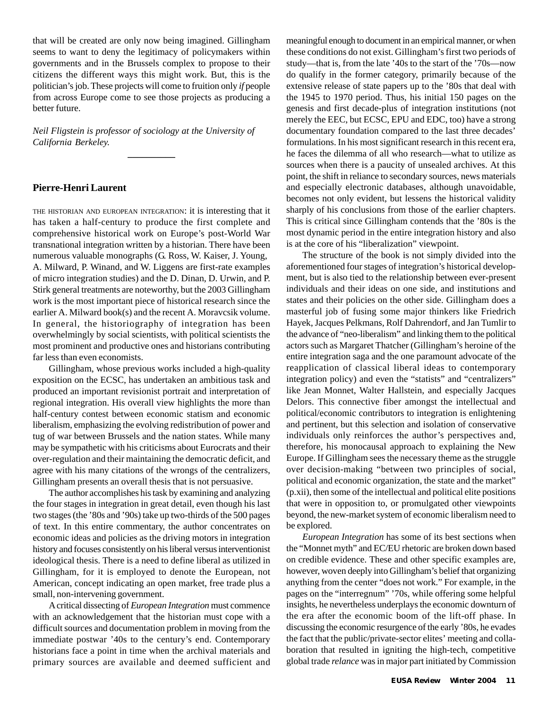that will be created are only now being imagined. Gillingham seems to want to deny the legitimacy of policymakers within governments and in the Brussels complex to propose to their citizens the different ways this might work. But, this is the politician's job. These projects will come to fruition only *if* people from across Europe come to see those projects as producing a better future.

*Neil Fligstein is professor of sociology at the University of California Berkeley.*

 $\overline{\phantom{a}}$ 

#### **Pierre-Henri Laurent**

THE HISTORIAN AND EUROPEAN INTEGRATION: it is interesting that it has taken a half-century to produce the first complete and comprehensive historical work on Europe's post-World War transnational integration written by a historian. There have been numerous valuable monographs (G. Ross, W. Kaiser, J. Young, A. Milward, P. Winand, and W. Liggens are first-rate examples of micro integration studies) and the D. Dinan, D. Urwin, and P. Stirk general treatments are noteworthy, but the 2003 Gillingham work is the most important piece of historical research since the earlier A. Milward book(s) and the recent A. Moravcsik volume. In general, the historiography of integration has been overwhelmingly by social scientists, with political scientists the most prominent and productive ones and historians contributing far less than even economists.

Gillingham, whose previous works included a high-quality exposition on the ECSC, has undertaken an ambitious task and produced an important revisionist portrait and interpretation of regional integration. His overall view highlights the more than half-century contest between economic statism and economic liberalism, emphasizing the evolving redistribution of power and tug of war between Brussels and the nation states. While many may be sympathetic with his criticisms about Eurocrats and their over-regulation and their maintaining the democratic deficit, and agree with his many citations of the wrongs of the centralizers, Gillingham presents an overall thesis that is not persuasive.

The author accomplishes his task by examining and analyzing the four stages in integration in great detail, even though his last two stages (the '80s and '90s) take up two-thirds of the 500 pages of text. In this entire commentary, the author concentrates on economic ideas and policies as the driving motors in integration history and focuses consistently on his liberal versus interventionist ideological thesis. There is a need to define liberal as utilized in Gillingham, for it is employed to denote the European, not American, concept indicating an open market, free trade plus a small, non-intervening government.

A critical dissecting of *European Integration* must commence with an acknowledgement that the historian must cope with a difficult sources and documentation problem in moving from the immediate postwar '40s to the century's end. Contemporary historians face a point in time when the archival materials and primary sources are available and deemed sufficient and meaningful enough to document in an empirical manner, or when these conditions do not exist. Gillingham's first two periods of study—that is, from the late '40s to the start of the '70s—now do qualify in the former category, primarily because of the extensive release of state papers up to the '80s that deal with the 1945 to 1970 period. Thus, his initial 150 pages on the genesis and first decade-plus of integration institutions (not merely the EEC, but ECSC, EPU and EDC, too) have a strong documentary foundation compared to the last three decades' formulations. In his most significant research in this recent era, he faces the dilemma of all who research—what to utilize as sources when there is a paucity of unsealed archives. At this point, the shift in reliance to secondary sources, news materials and especially electronic databases, although unavoidable, becomes not only evident, but lessens the historical validity sharply of his conclusions from those of the earlier chapters. This is critical since Gillingham contends that the '80s is the most dynamic period in the entire integration history and also is at the core of his "liberalization" viewpoint.

The structure of the book is not simply divided into the aforementioned four stages of integration's historical development, but is also tied to the relationship between ever-present individuals and their ideas on one side, and institutions and states and their policies on the other side. Gillingham does a masterful job of fusing some major thinkers like Friedrich Hayek, Jacques Pelkmans, Rolf Dahrendorf, and Jan Tumlir to the advance of "neo-liberalism" and linking them to the political actors such as Margaret Thatcher (Gillingham's heroine of the entire integration saga and the one paramount advocate of the reapplication of classical liberal ideas to contemporary integration policy) and even the "statists" and "centralizers" like Jean Monnet, Walter Hallstein, and especially Jacques Delors. This connective fiber amongst the intellectual and political/economic contributors to integration is enlightening and pertinent, but this selection and isolation of conservative individuals only reinforces the author's perspectives and, therefore, his monocausal approach to explaining the New Europe. If Gillingham sees the necessary theme as the struggle over decision-making "between two principles of social, political and economic organization, the state and the market" (p.xii), then some of the intellectual and political elite positions that were in opposition to, or promulgated other viewpoints beyond, the new-market system of economic liberalism need to be explored.

*European Integration* has some of its best sections when the "Monnet myth" and EC/EU rhetoric are broken down based on credible evidence. These and other specific examples are, however, woven deeply into Gillingham's belief that organizing anything from the center "does not work." For example, in the pages on the "interregnum" '70s, while offering some helpful insights, he nevertheless underplays the economic downturn of the era after the economic boom of the lift-off phase. In discussing the economic resurgence of the early '80s, he evades the fact that the public/private-sector elites' meeting and collaboration that resulted in igniting the high-tech, competitive global trade *relance* was in major part initiated by Commission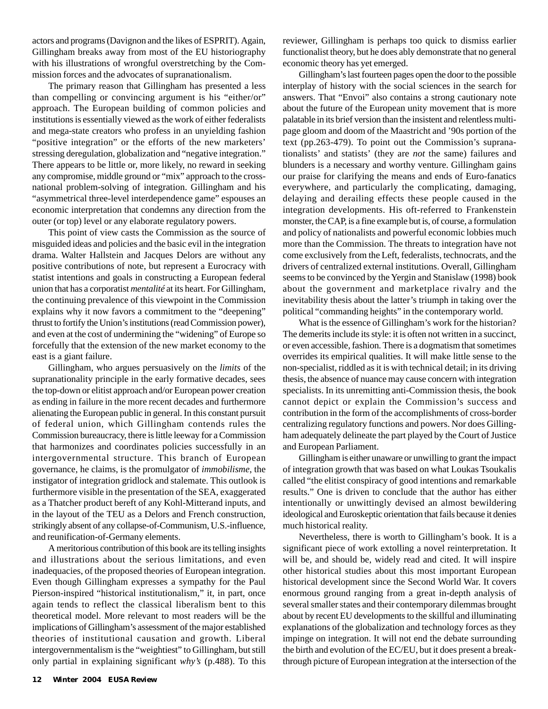actors and programs (Davignon and the likes of ESPRIT). Again, Gillingham breaks away from most of the EU historiography with his illustrations of wrongful overstretching by the Commission forces and the advocates of supranationalism.

The primary reason that Gillingham has presented a less than compelling or convincing argument is his "either/or" approach. The European building of common policies and institutions is essentially viewed as the work of either federalists and mega-state creators who profess in an unyielding fashion "positive integration" or the efforts of the new marketers' stressing deregulation, globalization and "negative integration." There appears to be little or, more likely, no reward in seeking any compromise, middle ground or "mix" approach to the crossnational problem-solving of integration. Gillingham and his "asymmetrical three-level interdependence game" espouses an economic interpretation that condemns any direction from the outer (or top) level or any elaborate regulatory powers.

This point of view casts the Commission as the source of misguided ideas and policies and the basic evil in the integration drama. Walter Hallstein and Jacques Delors are without any positive contributions of note, but represent a Eurocracy with statist intentions and goals in constructing a European federal union that has a corporatist *mentalité* at its heart. For Gillingham, the continuing prevalence of this viewpoint in the Commission explains why it now favors a commitment to the "deepening" thrust to fortify the Union's institutions (read Commission power), and even at the cost of undermining the "widening" of Europe so forcefully that the extension of the new market economy to the east is a giant failure.

Gillingham, who argues persuasively on the *limits* of the supranationality principle in the early formative decades, sees the top-down or elitist approach and/or European power creation as ending in failure in the more recent decades and furthermore alienating the European public in general. In this constant pursuit of federal union, which Gillingham contends rules the Commission bureaucracy, there is little leeway for a Commission that harmonizes and coordinates policies successfully in an intergovernmental structure. This branch of European governance, he claims, is the promulgator of *immobilisme*, the instigator of integration gridlock and stalemate. This outlook is furthermore visible in the presentation of the SEA, exaggerated as a Thatcher product bereft of any Kohl-Mitterand inputs, and in the layout of the TEU as a Delors and French construction, strikingly absent of any collapse-of-Communism, U.S.-influence, and reunification-of-Germany elements.

A meritorious contribution of this book are its telling insights and illustrations about the serious limitations, and even inadequacies, of the proposed theories of European integration. Even though Gillingham expresses a sympathy for the Paul Pierson-inspired "historical institutionalism," it, in part, once again tends to reflect the classical liberalism bent to this theoretical model. More relevant to most readers will be the implications of Gillingham's assessment of the major established theories of institutional causation and growth. Liberal intergovernmentalism is the "weightiest" to Gillingham, but still only partial in explaining significant *why's* (p.488). To this reviewer, Gillingham is perhaps too quick to dismiss earlier functionalist theory, but he does ably demonstrate that no general economic theory has yet emerged.

Gillingham's last fourteen pages open the door to the possible interplay of history with the social sciences in the search for answers. That "Envoi" also contains a strong cautionary note about the future of the European unity movement that is more palatable in its brief version than the insistent and relentless multipage gloom and doom of the Maastricht and '90s portion of the text (pp.263-479). To point out the Commission's supranationalists' and statists' (they are *not* the same) failures and blunders is a necessary and worthy venture. Gillingham gains our praise for clarifying the means and ends of Euro-fanatics everywhere, and particularly the complicating, damaging, delaying and derailing effects these people caused in the integration developments. His oft-referred to Frankenstein monster, the CAP, is a fine example but is, of course, a formulation and policy of nationalists and powerful economic lobbies much more than the Commission. The threats to integration have not come exclusively from the Left, federalists, technocrats, and the drivers of centralized external institutions. Overall, Gillingham seems to be convinced by the Yergin and Stanislaw (1998) book about the government and marketplace rivalry and the inevitability thesis about the latter's triumph in taking over the political "commanding heights" in the contemporary world.

What is the essence of Gillingham's work for the historian? The demerits include its style: it is often not written in a succinct, or even accessible, fashion. There is a dogmatism that sometimes overrides its empirical qualities. It will make little sense to the non-specialist, riddled as it is with technical detail; in its driving thesis, the absence of nuance may cause concern with integration specialists. In its unremitting anti-Commission thesis, the book cannot depict or explain the Commission's success and contribution in the form of the accomplishments of cross-border centralizing regulatory functions and powers. Nor does Gillingham adequately delineate the part played by the Court of Justice and European Parliament.

Gillingham is either unaware or unwilling to grant the impact of integration growth that was based on what Loukas Tsoukalis called "the elitist conspiracy of good intentions and remarkable results." One is driven to conclude that the author has either intentionally or unwittingly devised an almost bewildering ideological and Euroskeptic orientation that fails because it denies much historical reality.

Nevertheless, there is worth to Gillingham's book. It is a significant piece of work extolling a novel reinterpretation. It will be, and should be, widely read and cited. It will inspire other historical studies about this most important European historical development since the Second World War. It covers enormous ground ranging from a great in-depth analysis of several smaller states and their contemporary dilemmas brought about by recent EU developments to the skillful and illuminating explanations of the globalization and technology forces as they impinge on integration. It will not end the debate surrounding the birth and evolution of the EC/EU, but it does present a breakthrough picture of European integration at the intersection of the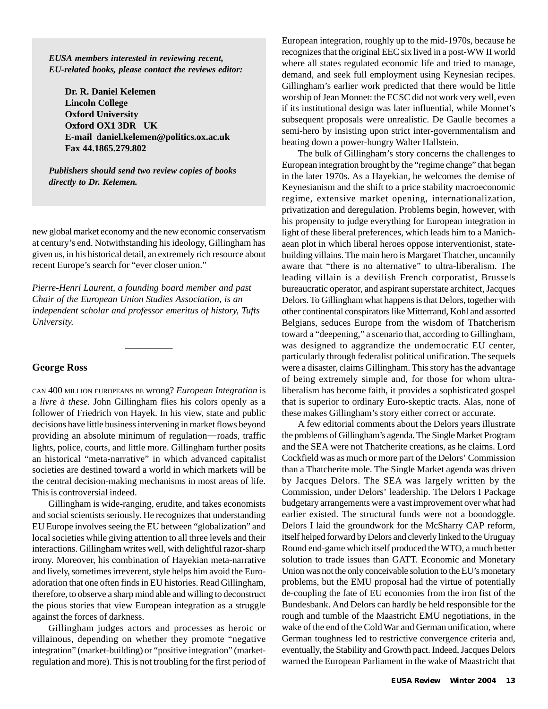*EUSA members interested in reviewing recent, EU-related books, please contact the reviews editor:*

**Dr. R. Daniel Kelemen Lincoln College Oxford University Oxford OX1 3DR UK E-mail daniel.kelemen@politics.ox.ac.uk Fax 44.1865.279.802**

*Publishers should send two review copies of books directly to Dr. Kelemen.*

new global market economy and the new economic conservatism at century's end. Notwithstanding his ideology, Gillingham has given us, in his historical detail, an extremely rich resource about recent Europe's search for "ever closer union."

*Pierre-Henri Laurent, a founding board member and past Chair of the European Union Studies Association, is an independent scholar and professor emeritus of history, Tufts University.*

 $\overline{\phantom{a}}$ 

#### **George Ross**

CAN 400 MILLION EUROPEANS BE wrong? *European Integration* is a *livre à these.* John Gillingham flies his colors openly as a follower of Friedrich von Hayek. In his view, state and public decisions have little business intervening in market flows beyond providing an absolute minimum of regulation—roads, traffic lights, police, courts, and little more. Gillingham further posits an historical "meta-narrative" in which advanced capitalist societies are destined toward a world in which markets will be the central decision-making mechanisms in most areas of life. This is controversial indeed.

Gillingham is wide-ranging, erudite, and takes economists and social scientists seriously. He recognizes that understanding EU Europe involves seeing the EU between "globalization" and local societies while giving attention to all three levels and their interactions. Gillingham writes well, with delightful razor-sharp irony. Moreover, his combination of Hayekian meta-narrative and lively, sometimes irreverent, style helps him avoid the Euroadoration that one often finds in EU histories. Read Gillingham, therefore, to observe a sharp mind able and willing to deconstruct the pious stories that view European integration as a struggle against the forces of darkness.

Gillingham judges actors and processes as heroic or villainous, depending on whether they promote "negative integration" (market-building) or "positive integration" (marketregulation and more). This is not troubling for the first period of European integration, roughly up to the mid-1970s, because he recognizes that the original EEC six lived in a post-WW II world where all states regulated economic life and tried to manage, demand, and seek full employment using Keynesian recipes. Gillingham's earlier work predicted that there would be little worship of Jean Monnet: the ECSC did not work very well, even if its institutional design was later influential, while Monnet's subsequent proposals were unrealistic. De Gaulle becomes a semi-hero by insisting upon strict inter-governmentalism and beating down a power-hungry Walter Hallstein.

The bulk of Gillingham's story concerns the challenges to European integration brought by the "regime change" that began in the later 1970s. As a Hayekian, he welcomes the demise of Keynesianism and the shift to a price stability macroeconomic regime, extensive market opening, internationalization, privatization and deregulation. Problems begin, however, with his propensity to judge everything for European integration in light of these liberal preferences, which leads him to a Manichaean plot in which liberal heroes oppose interventionist, statebuilding villains. The main hero is Margaret Thatcher, uncannily aware that "there is no alternative" to ultra-liberalism. The leading villain is a devilish French corporatist, Brussels bureaucratic operator, and aspirant superstate architect, Jacques Delors. To Gillingham what happens is that Delors, together with other continental conspirators like Mitterrand, Kohl and assorted Belgians, seduces Europe from the wisdom of Thatcherism toward a "deepening," a scenario that, according to Gillingham, was designed to aggrandize the undemocratic EU center, particularly through federalist political unification. The sequels were a disaster, claims Gillingham. This story has the advantage of being extremely simple and, for those for whom ultraliberalism has become faith, it provides a sophisticated gospel that is superior to ordinary Euro-skeptic tracts. Alas, none of these makes Gillingham's story either correct or accurate.

A few editorial comments about the Delors years illustrate the problems of Gillingham's agenda. The Single Market Program and the SEA were not Thatcherite creations, as he claims. Lord Cockfield was as much or more part of the Delors' Commission than a Thatcherite mole. The Single Market agenda was driven by Jacques Delors. The SEA was largely written by the Commission, under Delors' leadership. The Delors I Package budgetary arrangements were a vast improvement over what had earlier existed. The structural funds were not a boondoggle. Delors I laid the groundwork for the McSharry CAP reform, itself helped forward by Delors and cleverly linked to the Uruguay Round end-game which itself produced the WTO, a much better solution to trade issues than GATT. Economic and Monetary Union was not the only conceivable solution to the EU's monetary problems, but the EMU proposal had the virtue of potentially de-coupling the fate of EU economies from the iron fist of the Bundesbank. And Delors can hardly be held responsible for the rough and tumble of the Maastricht EMU negotiations, in the wake of the end of the Cold War and German unification, where German toughness led to restrictive convergence criteria and, eventually, the Stability and Growth pact. Indeed, Jacques Delors warned the European Parliament in the wake of Maastricht that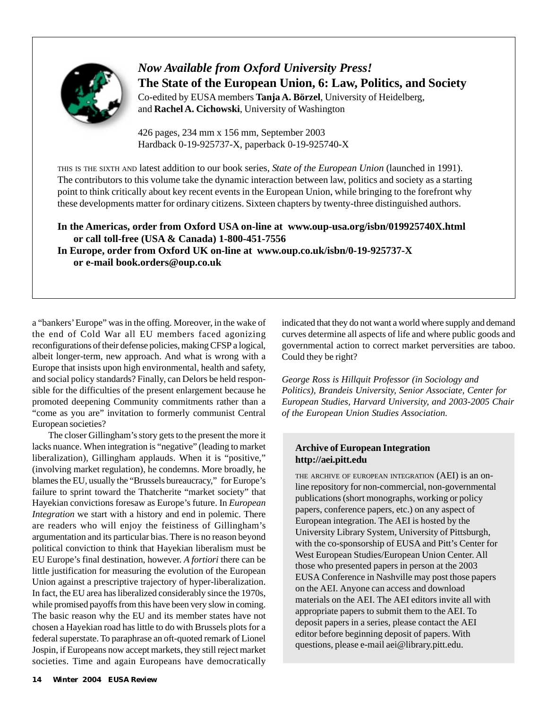

*Now Available from Oxford University Press!* **The State of the European Union, 6: Law, Politics, and Society** Co-edited by EUSA members **Tanja A. Börzel**, University of Heidelberg, and **Rachel A. Cichowski**, University of Washington

426 pages, 234 mm x 156 mm, September 2003 Hardback 0-19-925737-X, paperback 0-19-925740-X

THIS IS THE SIXTH AND latest addition to our book series, *State of the European Union* (launched in 1991). The contributors to this volume take the dynamic interaction between law, politics and society as a starting point to think critically about key recent events in the European Union, while bringing to the forefront why these developments matter for ordinary citizens. Sixteen chapters by twenty-three distinguished authors.

**In the Americas, order from Oxford USA on-line at www.oup-usa.org/isbn/019925740X.html or call toll-free (USA & Canada) 1-800-451-7556 In Europe, order from Oxford UK on-line at www.oup.co.uk/isbn/0-19-925737-X**

**or e-mail book.orders@oup.co.uk**

a "bankers' Europe" was in the offing. Moreover, in the wake of the end of Cold War all EU members faced agonizing reconfigurations of their defense policies, making CFSP a logical, albeit longer-term, new approach. And what is wrong with a Europe that insists upon high environmental, health and safety, and social policy standards? Finally, can Delors be held responsible for the difficulties of the present enlargement because he promoted deepening Community commitments rather than a "come as you are" invitation to formerly communist Central European societies?

The closer Gillingham's story gets to the present the more it lacks nuance. When integration is "negative" (leading to market liberalization), Gillingham applauds. When it is "positive," (involving market regulation), he condemns. More broadly, he blames the EU, usually the "Brussels bureaucracy," for Europe's failure to sprint toward the Thatcherite "market society" that Hayekian convictions foresaw as Europe's future. In *European Integration* we start with a history and end in polemic. There are readers who will enjoy the feistiness of Gillingham's argumentation and its particular bias. There is no reason beyond political conviction to think that Hayekian liberalism must be EU Europe's final destination, however. *A fortiori* there can be little justification for measuring the evolution of the European Union against a prescriptive trajectory of hyper-liberalization. In fact, the EU area has liberalized considerably since the 1970s, while promised payoffs from this have been very slow in coming. The basic reason why the EU and its member states have not chosen a Hayekian road has little to do with Brussels plots for a federal superstate. To paraphrase an oft-quoted remark of Lionel Jospin, if Europeans now accept markets, they still reject market societies. Time and again Europeans have democratically indicated that they do not want a world where supply and demand curves determine all aspects of life and where public goods and governmental action to correct market perversities are taboo. Could they be right?

*George Ross is Hillquit Professor (in Sociology and Politics), Brandeis University, Senior Associate, Center for European Studies, Harvard University, and 2003-2005 Chair of the European Union Studies Association.*

#### **Archive of European Integration http://aei.pitt.edu**

THE ARCHIVE OF EUROPEAN INTEGRATION (AEI) is an online repository for non-commercial, non-governmental publications (short monographs, working or policy papers, conference papers, etc.) on any aspect of European integration. The AEI is hosted by the University Library System, University of Pittsburgh, with the co-sponsorship of EUSA and Pitt's Center for West European Studies/European Union Center. All those who presented papers in person at the 2003 EUSA Conference in Nashville may post those papers on the AEI. Anyone can access and download materials on the AEI. The AEI editors invite all with appropriate papers to submit them to the AEI. To deposit papers in a series, please contact the AEI editor before beginning deposit of papers. With questions, please e-mail aei@library.pitt.edu.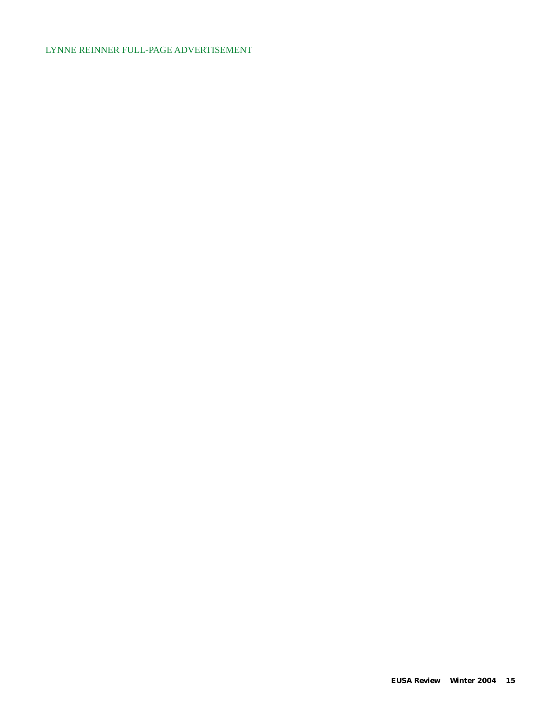#### LYNNE REINNER FULL-PAGE ADVERTISEMENT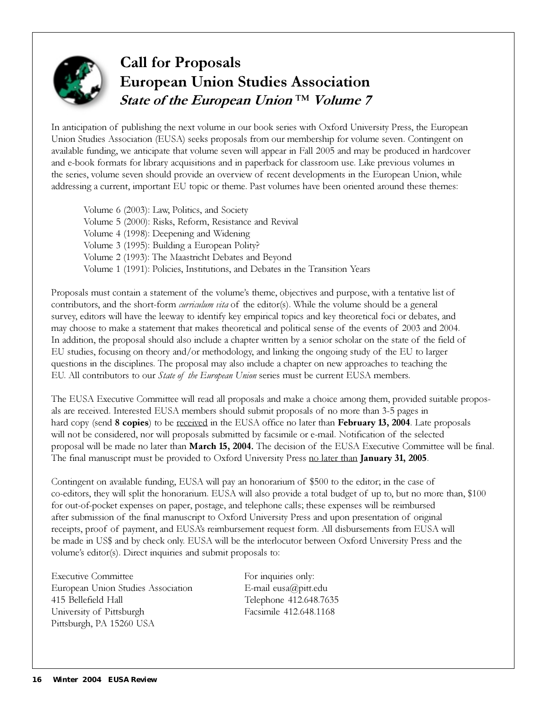

# Call for Proposals European Union Studies Association State of the European Union<sup>™</sup> Volume 7

In anticipation of publishing the next volume in our book series with Oxford University Press, the European Union Studies Association (EUSA) seeks proposals from our membership for volume seven. Contingent on available funding, we anticipate that volume seven will appear in Fall 2005 and may be produced in hardcover and e-book formats for library acquisitions and in paperback for classroom use. Like previous volumes in the series, volume seven should provide an overview of recent developments in the European Union, while addressing a current, important EU topic or theme. Past volumes have been oriented around these themes:

Volume 6 (2003): Law, Politics, and Society Volume 5 (2000): Risks, Reform, Resistance and Revival Volume 4 (1998): Deepening and Widening Volume 3 (1995): Building a European Polity? Volume 2 (1993): The Maastricht Debates and Beyond Volume 1 (1991): Policies, Institutions, and Debates in the Transition Years

Proposals must contain a statement of the volume's theme, objectives and purpose, with a tentative list of contributors, and the short-form *curriculum vita* of the editor(s). While the volume should be a general survey, editors will have the leeway to identify key empirical topics and key theoretical foci or debates, and may choose to make a statement that makes theoretical and political sense of the events of 2003 and 2004. In addition, the proposal should also include a chapter written by a senior scholar on the state of the field of EU studies, focusing on theory and/or methodology, and linking the ongoing study of the EU to larger questions in the disciplines. The proposal may also include a chapter on new approaches to teaching the EU. All contributors to our *State of the European Union* series must be current EUSA members.

The EUSA Executive Committee will read all proposals and make a choice among them, provided suitable proposals are received. Interested EUSA members should submit proposals of no more than 3-5 pages in hard copy (send 8 copies) to be received in the EUSA office no later than February 13, 2004. Late proposals will not be considered, nor will proposals submitted by facsimile or e-mail. Notification of the selected proposal will be made no later than March 15, 2004. The decision of the EUSA Executive Committee will be final. The final manuscript must be provided to Oxford University Press no later than **January 31, 2005**.

Contingent on available funding, EUSA will pay an honorarium of \$500 to the editor; in the case of co-editors, they will split the honorarium. EUSA will also provide a total budget of up to, but no more than, \$100 for out-of-pocket expenses on paper, postage, and telephone calls; these expenses will be reimbursed after submission of the final manuscript to Oxford University Press and upon presentation of original receipts, proof of payment, and EUSA's reimbursement request form. All disbursements from EUSA will be made in US\$ and by check only. EUSA will be the interlocutor between Oxford University Press and the volume's editor(s). Direct inquiries and submit proposals to:

Executive Committee For inquiries only: European Union Studies Association E-mail eusa@pitt.edu 415 Bellefield Hall Telephone 412.648.7635 University of Pittsburgh Facsimile 412.648.1168 Pittsburgh, PA 15260 USA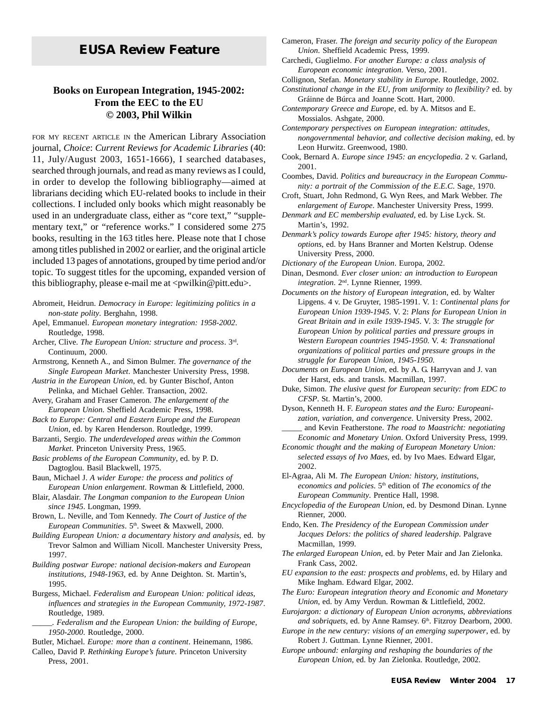# *EUSA Review* **Feature**

#### **Books on European Integration, 1945-2002: From the EEC to the EU © 2003, Phil Wilkin**

FOR MY RECENT ARTICLE IN the American Library Association journal, *Choice*: *Current Reviews for Academic Libraries* (40: 11, July/August 2003, 1651-1666), I searched databases, searched through journals, and read as many reviews as I could, in order to develop the following bibliography—aimed at librarians deciding which EU-related books to include in their collections. I included only books which might reasonably be used in an undergraduate class, either as "core text," "supplementary text," or "reference works." I considered some 275 books, resulting in the 163 titles here. Please note that I chose among titles published in 2002 or earlier, and the original article included 13 pages of annotations, grouped by time period and/or topic. To suggest titles for the upcoming, expanded version of this bibliography, please e-mail me at  $\langle$  pwilkin@pitt.edu $\rangle$ .

- Abromeit, Heidrun. *Democracy in Europe: legitimizing politics in a non-state polity*. Berghahn, 1998.
- Apel, Emmanuel. *European monetary integration: 1958-2002*. Routledge, 1998.
- Archer, Clive. *The European Union: structure and process*. 3rd. Continuum, 2000.

Armstrong, Kenneth A., and Simon Bulmer. *The governance of the Single European Market*. Manchester University Press, 1998.

*Austria in the European Union*, ed. by Gunter Bischof, Anton Pelinka, and Michael Gehler. Transaction, 2002.

Avery, Graham and Fraser Cameron. *The enlargement of the European Union*. Sheffield Academic Press, 1998.

*Back to Europe: Central and Eastern Europe and the European Union*, ed. by Karen Henderson. Routledge, 1999.

Barzanti, Sergio. *The underdeveloped areas within the Common Market*. Princeton University Press, 1965.

*Basic problems of the European Community*, ed. by P. D. Dagtoglou. Basil Blackwell, 1975.

Baun, Michael J. *A wider Europe: the process and politics of European Union enlargement*. Rowman & Littlefield, 2000.

Blair, Alasdair. *The Longman companion to the European Union since 1945*. Longman, 1999.

Brown, L. Neville, and Tom Kennedy. *The Court of Justice of the European Communities*. 5<sup>th</sup>. Sweet & Maxwell, 2000.

*Building European Union: a documentary history and analysis*, ed. by Trevor Salmon and William Nicoll. Manchester University Press, 1997.

*Building postwar Europe: national decision-makers and European institutions, 1948-1963*, ed. by Anne Deighton. St. Martin's, 1995.

Burgess, Michael. *Federalism and European Union: political ideas, influences and strategies in the European Community, 1972-1987*. Routledge, 1989.

\_\_\_\_\_*. Federalism and the European Union: the building of Europe, 1950-2000*. Routledge, 2000.

Butler, Michael. *Europe: more than a continent*. Heinemann, 1986.

Calleo, David P. *Rethinking Europe's future*. Princeton University Press, 2001.

Cameron, Fraser. *The foreign and security policy of the European Union*. Sheffield Academic Press, 1999.

Carchedi, Guglielmo. *For another Europe: a class analysis of European economic integration*. Verso, 2001.

Collignon, Stefan. *Monetary stability in Europe*. Routledge, 2002.

- *Constitutional change in the EU, from uniformity to flexibility?* ed. by Gráinne de Búrca and Joanne Scott. Hart, 2000.
- *Contemporary Greece and Europe*, ed. by A. Mitsos and E. Mossialos. Ashgate, 2000.

*Contemporary perspectives on European integration: attitudes, nongovernmental behavior, and collective decision making*, ed. by Leon Hurwitz. Greenwood, 1980.

- Cook, Bernard A. *Europe since 1945: an encyclopedia*. 2 v. Garland, 2001.
- Coombes, David. *Politics and bureaucracy in the European Community: a portrait of the Commission of the E.E.C*. Sage, 1970.
- Croft, Stuart, John Redmond, G. Wyn Rees, and Mark Webber. *The enlargement of Europe*. Manchester University Press, 1999.
- *Denmark and EC membership evaluated*, ed. by Lise Lyck. St. Martin's, 1992.
- *Denmark's policy towards Europe after 1945: history, theory and options*, ed. by Hans Branner and Morten Kelstrup. Odense University Press, 2000.

*Dictionary of the European Union*. Europa, 2002.

Dinan, Desmond. *Ever closer union: an introduction to European integration*. 2nd. Lynne Rienner, 1999.

- *Documents on the history of European integration*, ed. by Walter Lipgens. 4 v. De Gruyter, 1985-1991. V. 1: *Continental plans for European Union 1939-1945*. V. 2: *Plans for European Union in Great Britain and in exile 1939-1945*. V. 3: *The struggle for European Union by political parties and pressure groups in Western European countries 1945-1950*. V. 4: *Transnational organizations of political parties and pressure groups in the struggle for European Union, 1945-1950*.
- *Documents on European Union*, ed. by A. G. Harryvan and J. van der Harst, eds. and transls. Macmillan, 1997.
- Duke, Simon. *The elusive quest for European security: from EDC to CFSP*. St. Martin's, 2000.

Dyson, Kenneth H. F. *European states and the Euro: Europeanization, variation, and convergence*. University Press, 2002. \_\_\_\_\_ and Kevin Featherstone. *The road to Maastricht: negotiating*

*Economic and Monetary Union*. Oxford University Press, 1999. *Economic thought and the making of European Monetary Union:*

*selected essays of Ivo Maes*, ed. by Ivo Maes. Edward Elgar, 2002.

El-Agraa, Ali M. *The European Union: history, institutions, economics and policies*. 5th edition of *The economics of the European Community*. Prentice Hall, 1998.

*Encyclopedia of the European Union*, ed. by Desmond Dinan. Lynne Rienner, 2000.

Endo, Ken. *The Presidency of the European Commission under Jacques Delors: the politics of shared leadership*. Palgrave Macmillan, 1999.

*The enlarged European Union*, ed. by Peter Mair and Jan Zielonka. Frank Cass, 2002.

*EU expansion to the east: prospects and problems*, ed. by Hilary and Mike Ingham. Edward Elgar, 2002.

*The Euro: European integration theory and Economic and Monetary Union*, ed. by Amy Verdun. Rowman & Littlefield, 2002.

*Eurojargon: a dictionary of European Union acronyms, abbreviations* and sobriquets, ed. by Anne Ramsey. 6<sup>th</sup>. Fitzroy Dearborn, 2000.

*Europe in the new century: visions of an emerging superpower*, ed. by Robert J. Guttman. Lynne Rienner, 2001.

*Europe unbound: enlarging and reshaping the boundaries of the European Union*, ed. by Jan Zielonka. Routledge, 2002.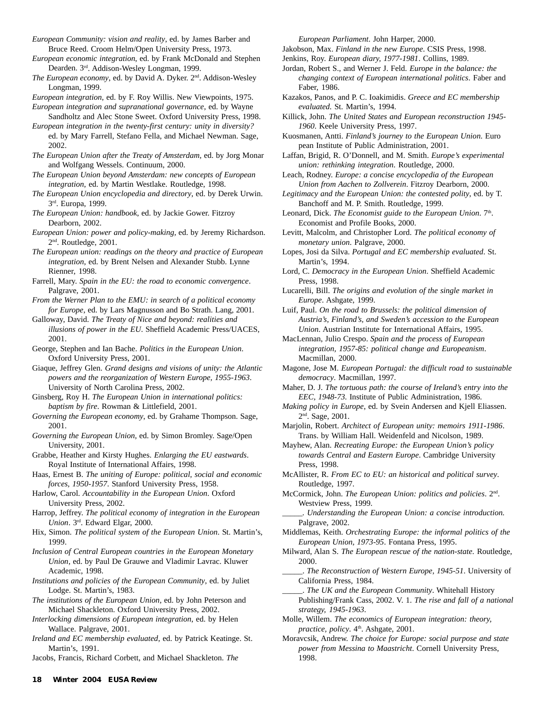*European Community: vision and reality*, ed. by James Barber and Bruce Reed. Croom Helm/Open University Press, 1973.

*European economic integration*, ed. by Frank McDonald and Stephen Dearden. 3rd. Addison-Wesley Longman, 1999.

*The European economy*, ed. by David A. Dyker. 2nd. Addison-Wesley Longman, 1999.

*European integration*, ed. by F. Roy Willis. New Viewpoints, 1975.

*European integration and supranational governance*, ed. by Wayne Sandholtz and Alec Stone Sweet. Oxford University Press, 1998.

*European integration in the twenty-first century: unity in diversity?* ed. by Mary Farrell, Stefano Fella, and Michael Newman. Sage, 2002.

*The European Union after the Treaty of Amsterdam*, ed. by Jorg Monar and Wolfgang Wessels. Continuum, 2000.

*The European Union beyond Amsterdam: new concepts of European integration*, ed. by Martin Westlake. Routledge, 1998.

*The European Union encyclopedia and directory*, ed. by Derek Urwin. 3rd. Europa, 1999.

*The European Union: handbook*, ed. by Jackie Gower. Fitzroy Dearborn, 2002.

*European Union: power and policy-making,* ed. by Jeremy Richardson. 2nd. Routledge, 2001.

*The European union: readings on the theory and practice of European integration*, ed. by Brent Nelsen and Alexander Stubb. Lynne Rienner, 1998.

Farrell, Mary. *Spain in the EU: the road to economic convergence*. Palgrave, 2001.

*From the Werner Plan to the EMU: in search of a political economy for Europe*, ed. by Lars Magnusson and Bo Strath. Lang, 2001.

Galloway, David. *The Treaty of Nice and beyond: realities and illusions of power in the EU*. Sheffield Academic Press/UACES, 2001.

George, Stephen and Ian Bache. *Politics in the European Union*. Oxford University Press, 2001.

Giaque, Jeffrey Glen. *Grand designs and visions of unity: the Atlantic powers and the reorganization of Western Europe, 1955-1963*. University of North Carolina Press, 2002.

Ginsberg, Roy H. *The European Union in international politics: baptism by fire*. Rowman & Littlefield, 2001.

*Governing the European economy*, ed. by Grahame Thompson. Sage, 2001.

*Governing the European Union*, ed. by Simon Bromley. Sage/Open University, 2001.

Grabbe, Heather and Kirsty Hughes. *Enlarging the EU eastwards*. Royal Institute of International Affairs, 1998.

Haas, Ernest B. *The uniting of Europe: political, social and economic forces, 1950-1957*. Stanford University Press, 1958.

Harlow, Carol. *Accountability in the European Union*. Oxford University Press, 2002.

Harrop, Jeffrey. *The political economy of integration in the European Union*. 3rd. Edward Elgar, 2000.

Hix, Simon. *The political system of the European Union*. St. Martin's, 1999.

*Inclusion of Central European countries in the European Monetary Union*, ed. by Paul De Grauwe and Vladimir Lavrac. Kluwer Academic, 1998.

*Institutions and policies of the European Community*, ed. by Juliet Lodge. St. Martin's, 1983.

*The institutions of the European Union,* ed. by John Peterson and Michael Shackleton. Oxford University Press, 2002.

*Interlocking dimensions of European integration*, ed. by Helen Wallace. Palgrave, 2001.

*Ireland and EC membership evaluated*, ed. by Patrick Keatinge. St. Martin's, 1991.

Jacobs, Francis, Richard Corbett, and Michael Shackleton. *The*

*European Parliament*. John Harper, 2000.

Jakobson, Max. *Finland in the new Europe*. CSIS Press, 1998.

Jenkins, Roy. *European diary, 1977-1981*. Collins, 1989.

Jordan, Robert S., and Werner J. Feld. *Europe in the balance: the changing context of European international politics*. Faber and Faber, 1986.

Kazakos, Panos, and P. C. Ioakimidis. *Greece and EC membership evaluated*. St. Martin's, 1994.

Killick, John. *The United States and European reconstruction 1945- 1960*. Keele University Press, 1997.

Kuosmanen, Antti. *Finland's journey to the European Union*. Euro pean Institute of Public Administration, 2001.

Laffan, Brigid, R. O'Donnell, and M. Smith. *Europe's experimental union: rethinking integration*. Routledge, 2000.

Leach, Rodney. *Europe: a concise encyclopedia of the European Union from Aachen to Zollverein*. Fitzroy Dearborn, 2000.

*Legitimacy and the European Union: the contested polity*, ed. by T. Banchoff and M. P. Smith. Routledge, 1999.

Leonard, Dick. *The Economist guide to the European Union*. 7<sup>th</sup>. Economist and Profile Books, 2000.

Levitt, Malcolm, and Christopher Lord. *The political economy of monetary union*. Palgrave, 2000.

Lopes, Josi da Silva. *Portugal and EC membership evaluated*. St. Martin's, 1994.

Lord, C. *Democracy in the European Union*. Sheffield Academic Press, 1998.

Lucarelli, Bill. *The origins and evolution of the single market in Europe*. Ashgate, 1999.

Luif, Paul. *On the road to Brussels: the political dimension of Austria's, Finland's, and Sweden's accession to the European Union*. Austrian Institute for International Affairs, 1995.

MacLennan, Julio Crespo. *Spain and the process of European integration, 1957-85: political change and Europeanism*. Macmillan, 2000.

Magone, Jose M. *European Portugal: the difficult road to sustainable democracy*. Macmillan, 1997.

Maher, D. J. *The tortuous path: the course of Ireland's entry into the EEC, 1948-73*. Institute of Public Administration, 1986.

*Making policy in Europe*, ed. by Svein Andersen and Kjell Eliassen. 2nd. Sage, 2001.

Marjolin, Robert. *Architect of European unity: memoirs 1911-1986*. Trans. by William Hall. Weidenfeld and Nicolson, 1989.

Mayhew, Alan. *Recreating Europe: the European Union's policy towards Central and Eastern Europe*. Cambridge University Press, 1998.

McAllister, R. *From EC to EU: an historical and political survey*. Routledge, 1997.

McCormick, John. *The European Union: politics and policies*. 2nd. Westview Press, 1999.

*\_\_\_\_\_. Understanding the European Union: a concise introduction.* Palgrave, 2002.

Middlemas, Keith. *Orchestrating Europe: the informal politics of the European Union, 1973-95*. Fontana Press, 1995.

Milward, Alan S. *The European rescue of the nation-state.* Routledge, 2000.

\_\_\_\_\_. *The Reconstruction of Western Europe, 1945-51*. University of California Press, 1984.

\_\_\_\_\_. *The UK and the European Community*. Whitehall History Publishing/Frank Cass, 2002. V. 1. *The rise and fall of a national strategy, 1945-1963*.

Molle, Willem. *The economics of European integration: theory, practice, policy.* 4<sup>th</sup>. Ashgate, 2001.

Moravcsik, Andrew. *The choice for Europe: social purpose and state power from Messina to Maastricht*. Cornell University Press, 1998.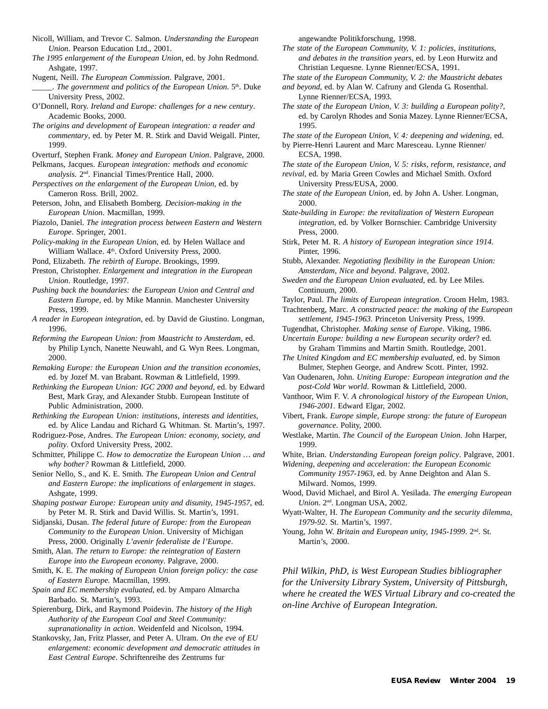- Nicoll, William, and Trevor C. Salmon. *Understanding the European Union*. Pearson Education Ltd., 2001.
- *The 1995 enlargement of the European Union*, ed. by John Redmond. Ashgate, 1997.
- Nugent, Neill. *The European Commission*. Palgrave, 2001.
- \_\_\_\_\_. *The government and politics of the European Union*. 5th. Duke University Press, 2002.
- O'Donnell, Rory. *Ireland and Europe: challenges for a new century*. Academic Books, 2000.
- *The origins and development of European integration: a reader and commentary*, ed. by Peter M. R. Stirk and David Weigall. Pinter, 1999.
- Overturf, Stephen Frank. *Money and European Union*. Palgrave, 2000.
- Pelkmans, Jacques. *European integration: methods and economic analysis*. 2nd. Financial Times/Prentice Hall, 2000.
- *Perspectives on the enlargement of the European Union,* ed. by Cameron Ross. Brill, 2002.
- Peterson, John, and Elisabeth Bomberg. *Decision-making in the European Union*. Macmillan, 1999.
- Piazolo, Daniel. *The integration process between Eastern and Western Europe*. Springer, 2001.
- *Policy-making in the European Union*, ed. by Helen Wallace and William Wallace. 4th. Oxford University Press, 2000.
- Pond, Elizabeth. *The rebirth of Europe*. Brookings, 1999.

Preston, Christopher. *Enlargement and integration in the European Union*. Routledge, 1997.

- *Pushing back the boundaries: the European Union and Central and Eastern Europe*, ed. by Mike Mannin. Manchester University Press, 1999.
- *A reader in European integration*, ed. by David de Giustino. Longman, 1996.
- *Reforming the European Union: from Maastricht to Amsterdam*, ed. by Philip Lynch, Nanette Neuwahl, and G. Wyn Rees. Longman, 2000.
- *Remaking Europe: the European Union and the transition economies*, ed. by Jozef M. van Brabant. Rowman & Littlefield, 1999.
- *Rethinking the European Union: IGC 2000 and beyond*, ed. by Edward Best, Mark Gray, and Alexander Stubb. European Institute of Public Administration, 2000.
- *Rethinking the European Union: institutions, interests and identities*, ed. by Alice Landau and Richard G. Whitman. St. Martin's, 1997.
- Rodriguez-Pose, Andres. *The European Union: economy, society, and polity*. Oxford University Press, 2002.
- Schmitter, Philippe C. *How to democratize the European Union … and why bother?* Rowman & Littlefield, 2000.

Senior Nello, S., and K. E. Smith. *The European Union and Central and Eastern Europe: the implications of enlargement in stages*. Ashgate, 1999.

*Shaping postwar Europe: European unity and disunity, 1945-1957*, ed. by Peter M. R. Stirk and David Willis. St. Martin's, 1991.

- Sidjanski, Dusan. *The federal future of Europe: from the European Community to the European Union*. University of Michigan Press, 2000. Originally *L'avenir federaliste de l'Europe*.
- Smith, Alan. *The return to Europe: the reintegration of Eastern Europe into the European economy*. Palgrave, 2000.

Smith, K. E. *The making of European Union foreign policy: the case of Eastern Europe.* Macmillan, 1999.

- *Spain and EC membership evaluated*, ed. by Amparo Almarcha Barbado. St. Martin's, 1993.
- Spierenburg, Dirk, and Raymond Poidevin. *The history of the High Authority of the European Coal and Steel Community: supranationality in action*. Weidenfeld and Nicolson, 1994.
- Stankovsky, Jan, Fritz Plasser, and Peter A. Ulram. *On the eve of EU enlargement: economic development and democratic attitudes in East Central Europe*. Schriftenreihe des Zentrums fur

angewandte Politikforschung, 1998.

- *The state of the European Community, V. 1: policies, institutions, and debates in the transition years*, ed. by Leon Hurwitz and Christian Lequesne. Lynne Rienner/ECSA, 1991.
- *The state of the European Community, V. 2: the Maastricht debates*
- *and beyond*, ed. by Alan W. Cafruny and Glenda G. Rosenthal. Lynne Rienner/ECSA, 1993.
- *The state of the European Union, V. 3: building a European polity?*, ed. by Carolyn Rhodes and Sonia Mazey. Lynne Rienner/ECSA, 1995.
- *The state of the European Union, V. 4: deepening and widening*, ed.
- by Pierre-Henri Laurent and Marc Maresceau. Lynne Rienner/ ECSA, 1998.
- *The state of the European Union, V. 5: risks, reform, resistance, and revival*, ed. by Maria Green Cowles and Michael Smith. Oxford

University Press/EUSA, 2000.

- *The state of the European Union*, ed. by John A. Usher. Longman, 2000.
- *State-building in Europe: the revitalization of Western European integration*, ed. by Volker Bornschier. Cambridge University Press, 2000.
- Stirk, Peter M. R. *A history of European integration since 1914*. Pinter, 1996.

Stubb, Alexander. *Negotiating flexibility in the European Union: Amsterdam, Nice and beyond*. Palgrave, 2002.

- *Sweden and the European Union evaluated,* ed. by Lee Miles. Continuum, 2000.
- Taylor, Paul. *The limits of European integration*. Croom Helm, 1983.
- Trachtenberg, Marc. *A constructed peace: the making of the European settlement, 1945-1963*. Princeton University Press, 1999.
- Tugendhat, Christopher. *Making sense of Europe*. Viking, 1986.
- *Uncertain Europe: building a new European security order*? ed. by Graham Timmins and Martin Smith. Routledge, 2001.
- *The United Kingdom and EC membership evaluated*, ed. by Simon Bulmer, Stephen George, and Andrew Scott. Pinter, 1992.
- Van Oudenaren, John. *Uniting Europe: European integration and the post-Cold War world*. Rowman & Littlefield, 2000.
- Vanthoor, Wim F. V. *A chronological history of the European Union, 1946-2001*. Edward Elgar, 2002.
- Vibert, Frank. *Europe simple, Europe strong: the future of European governance*. Polity, 2000.
- Westlake, Martin. *The Council of the European Union*. John Harper, 1999.

White, Brian. *Understanding European foreign policy*. Palgrave, 2001.

*Widening, deepening and acceleration: the European Economic Community 1957-1963*, ed. by Anne Deighton and Alan S. Milward. Nomos, 1999.

Wood, David Michael, and Birol A. Yesilada. *The emerging European Union*. 2nd. Longman USA, 2002.

*Phil Wilkin, PhD, is West European Studies bibliographer for the University Library System, University of Pittsburgh, where he created the WES Virtual Library and co-created the on-line Archive of European Integration.*

Wyatt-Walter, H. *The European Community and the security dilemma, 1979-92*. St. Martin's, 1997.

Young, John W. *Britain and European unity, 1945-1999*. 2<sup>nd</sup>. St. Martin's, 2000.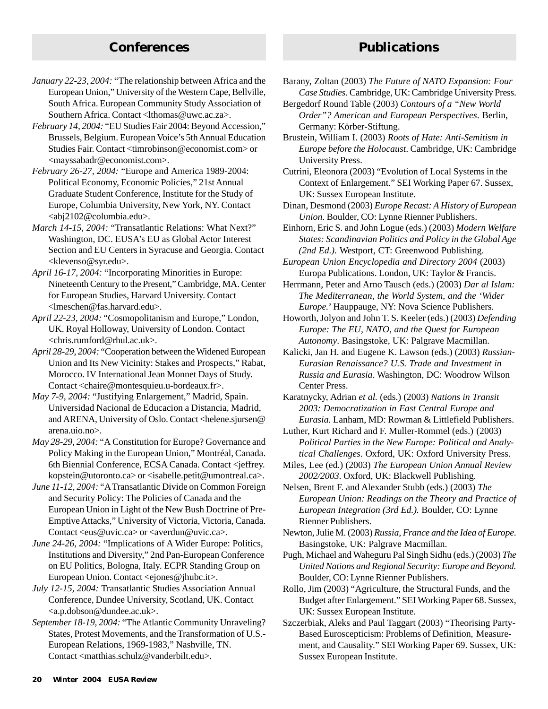# **Conferences Publications**

- *January 22-23, 2004:* "The relationship between Africa and the European Union," University of the Western Cape, Bellville, South Africa. European Community Study Association of Southern Africa. Contact <lthomas@uwc.ac.za>.
- *February 14, 2004:* "EU Studies Fair 2004: Beyond Accession," Brussels, Belgium. European Voice's 5th Annual Education Studies Fair. Contact <timrobinson@economist.com> or <mayssabadr@economist.com>.
- *February 26-27, 2004:* "Europe and America 1989-2004: Political Economy, Economic Policies," 21st Annual Graduate Student Conference, Institute for the Study of Europe, Columbia University, New York, NY. Contact <abj2102@columbia.edu>.
- *March 14-15, 2004:* "Transatlantic Relations: What Next?" Washington, DC. EUSA's EU as Global Actor Interest Section and EU Centers in Syracuse and Georgia. Contact <klevenso@syr.edu>.
- *April 16-17, 2004:* "Incorporating Minorities in Europe: Nineteenth Century to the Present," Cambridge, MA. Center for European Studies, Harvard University. Contact <lmeschen@fas.harvard.edu>.
- *April 22-23, 2004:* "Cosmopolitanism and Europe," London, UK. Royal Holloway, University of London. Contact <chris.rumford@rhul.ac.uk>.
- *April 28-29, 2004:* "Cooperation between the Widened European Union and Its New Vicinity: Stakes and Prospects," Rabat, Morocco. IV International Jean Monnet Days of Study. Contact <chaire@montesquieu.u-bordeaux.fr>.
- *May 7-9, 2004:* "Justifying Enlargement," Madrid, Spain. Universidad Nacional de Educacion a Distancia, Madrid, and ARENA, University of Oslo. Contact <helene.sjursen@ arena.uio.no>.
- *May 28-29, 2004:* "A Constitution for Europe? Governance and Policy Making in the European Union," Montréal, Canada. 6th Biennial Conference, ECSA Canada. Contact <jeffrey. kopstein@utoronto.ca> or <isabelle.petit@umontreal.ca>.
- *June 11-12, 2004:* "A Transatlantic Divide on Common Foreign and Security Policy: The Policies of Canada and the European Union in Light of the New Bush Doctrine of Pre-Emptive Attacks," University of Victoria, Victoria, Canada. Contact <eus@uvic.ca> or <averdun@uvic.ca>.
- *June 24-26, 2004: "Implications of A Wider Europe: Politics,* Institutions and Diversity," 2nd Pan-European Conference on EU Politics, Bologna, Italy. ECPR Standing Group on European Union. Contact <ejones@jhubc.it>.
- *July 12-15, 2004:* Transatlantic Studies Association Annual Conference, Dundee University, Scotland, UK. Contact <a.p.dobson@dundee.ac.uk>.
- *September 18-19, 2004:* "The Atlantic Community Unraveling? States, Protest Movements, and the Transformation of U.S.- European Relations, 1969-1983," Nashville, TN. Contact <matthias.schulz@vanderbilt.edu>.

Barany, Zoltan (2003) *The Future of NATO Expansion: Four Case Studies.* Cambridge, UK: Cambridge University Press.

- Bergedorf Round Table (2003) *Contours of a "New World Order"? American and European Perspectives*. Berlin, Germany: Körber-Stiftung.
- Brustein, William I. (2003) *Roots of Hate: Anti-Semitism in Europe before the Holocaust*. Cambridge, UK: Cambridge University Press.
- Cutrini, Eleonora (2003) "Evolution of Local Systems in the Context of Enlargement." SEI Working Paper 67. Sussex, UK: Sussex European Institute.

Dinan, Desmond (2003) *Europe Recast: A History of European Union*. Boulder, CO: Lynne Rienner Publishers.

- Einhorn, Eric S. and John Logue (eds.) (2003) *Modern Welfare States: Scandinavian Politics and Policy in the Global Age (2nd Ed.).* Westport, CT: Greenwood Publishing.
- *European Union Encyclopedia and Directory 2004* (2003) Europa Publications. London, UK: Taylor & Francis.
- Herrmann, Peter and Arno Tausch (eds.) (2003) *Dar al Islam: The Mediterranean, the World System, and the 'Wider Europe.*' Hauppauge, NY: Nova Science Publishers.
- Howorth, Jolyon and John T. S. Keeler (eds.) (2003) *Defending Europe: The EU, NATO, and the Quest for European Autonomy*. Basingstoke, UK: Palgrave Macmillan.
- Kalicki, Jan H. and Eugene K. Lawson (eds.) (2003) *Russian-Eurasian Renaissance? U.S. Trade and Investment in Russia and Eurasia*. Washington, DC: Woodrow Wilson Center Press.
- Karatnycky, Adrian *et al.* (eds.) (2003) *Nations in Transit 2003: Democratization in East Central Europe and Eurasia.* Lanham, MD: Rowman & Littlefield Publishers.
- Luther, Kurt Richard and F. Muller-Rommel (eds.) (2003) *Political Parties in the New Europe: Political and Analytical Challenges*. Oxford, UK: Oxford University Press.
- Miles, Lee (ed.) (2003) *The European Union Annual Review 2002/2003*. Oxford, UK: Blackwell Publishing.
- Nelsen, Brent F. and Alexander Stubb (eds.) (2003) *The European Union: Readings on the Theory and Practice of European Integration (3rd Ed.).* Boulder, CO: Lynne Rienner Publishers.
- Newton, Julie M. (2003) *Russia, France and the Idea of Europe*. Basingstoke, UK: Palgrave Macmillan.
- Pugh, Michael and Waheguru Pal Singh Sidhu (eds.) (2003) *The United Nations and Regional Security: Europe and Beyond.* Boulder, CO: Lynne Rienner Publishers.
- Rollo, Jim (2003) "Agriculture, the Structural Funds, and the Budget after Enlargement." SEI Working Paper 68. Sussex, UK: Sussex European Institute.
- Szczerbiak, Aleks and Paul Taggart (2003) "Theorising Party-Based Euroscepticism: Problems of Definition, Measurement, and Causality." SEI Working Paper 69. Sussex, UK: Sussex European Institute.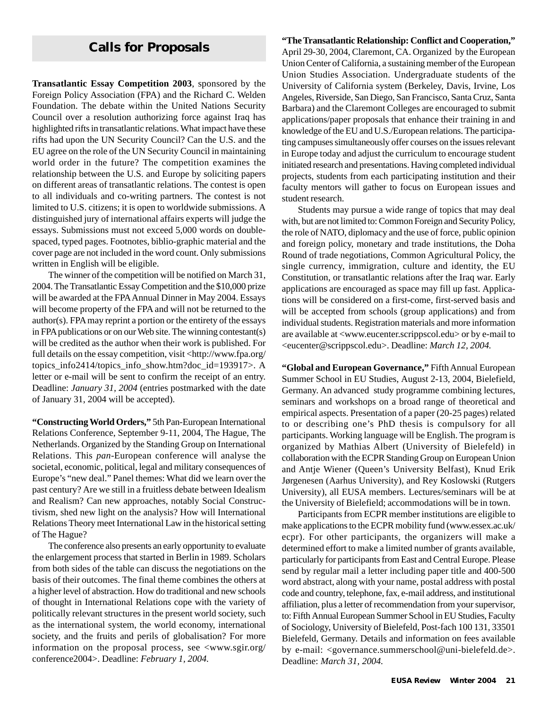# **Calls for Proposals**

Foreign Policy Association (FPA) and the Richard C. Welden **Transatlantic Essay Competition 2003**, sponsored by the Foundation. The debate within the United Nations Security Council over a resolution authorizing force against Iraq has highlighted rifts in transatlantic relations. What impact have these rifts had upon the UN Security Council? Can the U.S. and the EU agree on the role of the UN Security Council in maintaining world order in the future? The competition examines the relationship between the U.S. and Europe by soliciting papers on different areas of transatlantic relations. The contest is open to all individuals and co-writing partners. The contest is not limited to U.S. citizens; it is open to worldwide submissions. A distinguished jury of international affairs experts will judge the essays. Submissions must not exceed 5,000 words on doublespaced, typed pages. Footnotes, biblio-graphic material and the cover page are not included in the word count. Only submissions written in English will be eligible.

The winner of the competition will be notified on March 31, 2004. The Transatlantic Essay Competition and the \$10,000 prize will be awarded at the FPA Annual Dinner in May 2004. Essays will become property of the FPA and will not be returned to the author(s). FPA may reprint a portion or the entirety of the essays in FPA publications or on our Web site. The winning contestant(s) will be credited as the author when their work is published. For full details on the essay competition, visit <http://www.fpa.org/ topics info2414/topics info\_show.htm?doc\_id=193917>. A letter or e-mail will be sent to confirm the receipt of an entry. Deadline: *January 31, 2004* (entries postmarked with the date of January 31, 2004 will be accepted).

**"Constructing World Orders,"** 5th Pan-European International Relations Conference, September 9-11, 2004, The Hague, The Netherlands. Organized by the Standing Group on International Relations. This *pan*-European conference will analyse the societal, economic, political, legal and military consequences of Europe's "new deal." Panel themes: What did we learn over the past century? Are we still in a fruitless debate between Idealism and Realism? Can new approaches, notably Social Constructivism, shed new light on the analysis? How will International Relations Theory meet International Law in the historical setting of The Hague?

The conference also presents an early opportunity to evaluate the enlargement process that started in Berlin in 1989. Scholars from both sides of the table can discuss the negotiations on the basis of their outcomes. The final theme combines the others at a higher level of abstraction. How do traditional and new schools of thought in International Relations cope with the variety of politically relevant structures in the present world society, such as the international system, the world economy, international society, and the fruits and perils of globalisation? For more information on the proposal process, see <www.sgir.org/ conference2004>. Deadline: *February 1, 2004.*

#### **"The Transatlantic Relationship: Conflict and Cooperation,"**

April 29-30, 2004, Claremont, CA. Organized by the European Union Center of California, a sustaining member of the European Union Studies Association. Undergraduate students of the University of California system (Berkeley, Davis, Irvine, Los Angeles, Riverside, San Diego, San Francisco, Santa Cruz, Santa Barbara) and the Claremont Colleges are encouraged to submit applications/paper proposals that enhance their training in and knowledge of the EU and U.S./European relations. The participating campuses simultaneously offer courses on the issues relevant in Europe today and adjust the curriculum to encourage student initiated research and presentations. Having completed individual projects, students from each participating institution and their faculty mentors will gather to focus on European issues and student research.

Students may pursue a wide range of topics that may deal with, but are not limited to: Common Foreign and Security Policy, the role of NATO, diplomacy and the use of force, public opinion and foreign policy, monetary and trade institutions, the Doha Round of trade negotiations, Common Agricultural Policy, the single currency, immigration, culture and identity, the EU Constitution, or transatlantic relations after the Iraq war. Early applications are encouraged as space may fill up fast. Applications will be considered on a first-come, first-served basis and will be accepted from schools (group applications) and from individual students. Registration materials and more information are available at <www.eucenter.scrippscol.edu> or by e-mail to <eucenter@scrippscol.edu>. Deadline: *March 12, 2004.*

**"Global and European Governance,"** Fifth Annual European Summer School in EU Studies, August 2-13, 2004, Bielefield, Germany. An advanced study programme combining lectures, seminars and workshops on a broad range of theoretical and empirical aspects. Presentation of a paper (20-25 pages) related to or describing one's PhD thesis is compulsory for all participants. Working language will be English. The program is organized by Mathias Albert (University of Bielefeld) in collaboration with the ECPR Standing Group on European Union and Antje Wiener (Queen's University Belfast), Knud Erik Jørgenesen (Aarhus University), and Rey Koslowski (Rutgers University), all EUSA members. Lectures/seminars will be at the University of Bielefield; accommodations will be in town.

Participants from ECPR member institutions are eligible to make applications to the ECPR mobility fund (www.essex.ac.uk/ ecpr). For other participants, the organizers will make a determined effort to make a limited number of grants available, particularly for participants from East and Central Europe. Please send by regular mail a letter including paper title and 400-500 word abstract, along with your name, postal address with postal code and country, telephone, fax, e-mail address, and institutional affiliation, plus a letter of recommendation from your supervisor, to: Fifth Annual European Summer School in EU Studies, Faculty of Sociology, University of Bielefeld, Post-fach 100 131, 33501 Bielefeld, Germany. Details and information on fees available by e-mail: <governance.summerschool@uni-bielefeld.de>. Deadline: *March 31, 2004.*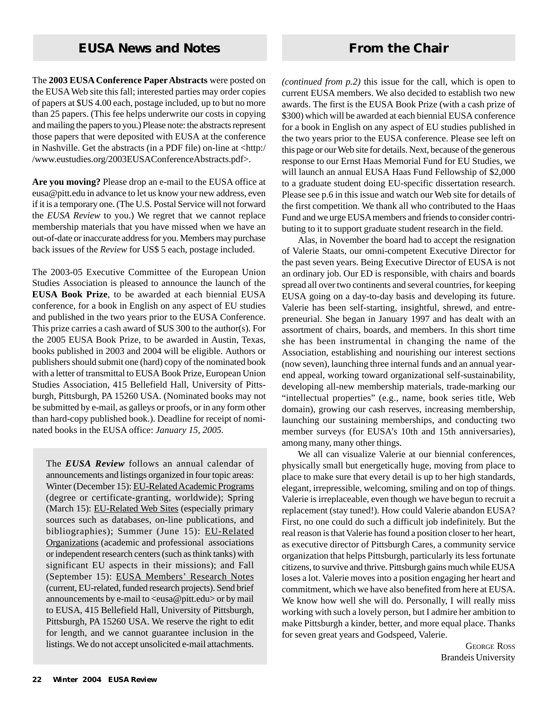The **2003 EUSA Conference Paper Abstracts** were posted on the EUSA Web site this fall; interested parties may order copies of papers at \$US 4.00 each, postage included, up to but no more than 25 papers. (This fee helps underwrite our costs in copying and mailing the papers to you.) Please note: the abstracts represent those papers that were deposited with EUSA at the conference in Nashville. Get the abstracts (in a PDF file) on-line at <http:/ /www.eustudies.org/2003EUSAConferenceAbstracts.pdf>.

**Are you moving?** Please drop an e-mail to the EUSA office at eusa@pitt.edu in advance to let us know your new address, even if it is a temporary one. (The U.S. Postal Service will not forward the *EUSA Review* to you.) We regret that we cannot replace membership materials that you have missed when we have an out-of-date or inaccurate address for you. Members may purchase back issues of the *Review* for US\$ 5 each, postage included.

The 2003-05 Executive Committee of the European Union Studies Association is pleased to announce the launch of the **EUSA Book Prize**, to be awarded at each biennial EUSA conference, for a book in English on any aspect of EU studies and published in the two years prior to the EUSA Conference. This prize carries a cash award of \$US 300 to the author(s). For the 2005 EUSA Book Prize, to be awarded in Austin, Texas, books published in 2003 and 2004 will be eligible. Authors or publishers should submit one (hard) copy of the nominated book with a letter of transmittal to EUSA Book Prize, European Union Studies Association, 415 Bellefield Hall, University of Pittsburgh, Pittsburgh, PA 15260 USA. (Nominated books may not be submitted by e-mail, as galleys or proofs, or in any form other than hard-copy published book.). Deadline for receipt of nominated books in the EUSA office: *January 15, 2005.*

The *EUSA Review* follows an annual calendar of announcements and listings organized in four topic areas: Winter (December 15): EU-Related Academic Programs (degree or certificate-granting, worldwide); Spring (March 15): EU-Related Web Sites (especially primary sources such as databases, on-line publications, and bibliographies); Summer (June 15): EU-Related Organizations (academic and professional associations or independent research centers (such as think tanks) with significant EU aspects in their missions); and Fall (September 15): EUSA Members' Research Notes (current, EU-related, funded research projects). Send brief announcements by e-mail to  $\langle e$ usa@pitt.edu $>$  or by mail to EUSA, 415 Bellefield Hall, University of Pittsburgh, Pittsburgh, PA 15260 USA. We reserve the right to edit for length, and we cannot guarantee inclusion in the listings. We do not accept unsolicited e-mail attachments. *(continued from p.2)* this issue for the call, which is open to current EUSA members. We also decided to establish two new awards. The first is the EUSA Book Prize (with a cash prize of \$300) which will be awarded at each biennial EUSA conference for a book in English on any aspect of EU studies published in the two years prior to the EUSA conference. Please see left on this page or our Web site for details. Next, because of the generous response to our Ernst Haas Memorial Fund for EU Studies, we will launch an annual EUSA Haas Fund Fellowship of \$2,000 to a graduate student doing EU-specific dissertation research. Please see p.6 in this issue and watch our Web site for details of the first competition. We thank all who contributed to the Haas Fund and we urge EUSA members and friends to consider contributing to it to support graduate student research in the field.

Alas, in November the board had to accept the resignation of Valerie Staats, our omni-competent Executive Director for the past seven years. Being Executive Director of EUSA is not an ordinary job. Our ED is responsible, with chairs and boards spread all over two continents and several countries, for keeping EUSA going on a day-to-day basis and developing its future. Valerie has been self-starting, insightful, shrewd, and entrepreneurial. She began in January 1997 and has dealt with an assortment of chairs, boards, and members. In this short time she has been instrumental in changing the name of the Association, establishing and nourishing our interest sections (now seven), launching three internal funds and an annual yearend appeal, working toward organizational self-sustainability, developing all-new membership materials, trade-marking our "intellectual properties" (e.g., name, book series title, Web domain), growing our cash reserves, increasing membership, launching our sustaining memberships, and conducting two member surveys (for EUSA's 10th and 15th anniversaries), among many, many other things.

We all can visualize Valerie at our biennial conferences, physically small but energetically huge, moving from place to place to make sure that every detail is up to her high standards, elegant, irrepressible, welcoming, smiling and on top of things. Valerie is irreplaceable, even though we have begun to recruit a replacement (stay tuned!). How could Valerie abandon EUSA? First, no one could do such a difficult job indefinitely. But the real reason is that Valerie has found a position closer to her heart, as executive director of Pittsburgh Cares, a community service organization that helps Pittsburgh, particularly its less fortunate citizens, to survive and thrive. Pittsburgh gains much while EUSA loses a lot. Valerie moves into a position engaging her heart and commitment, which we have also benefited from here at EUSA. We know how well she will do. Personally, I will really miss working with such a lovely person, but I admire her ambition to make Pittsburgh a kinder, better, and more equal place. Thanks for seven great years and Godspeed, Valerie.

> GEORGE ROSS Brandeis University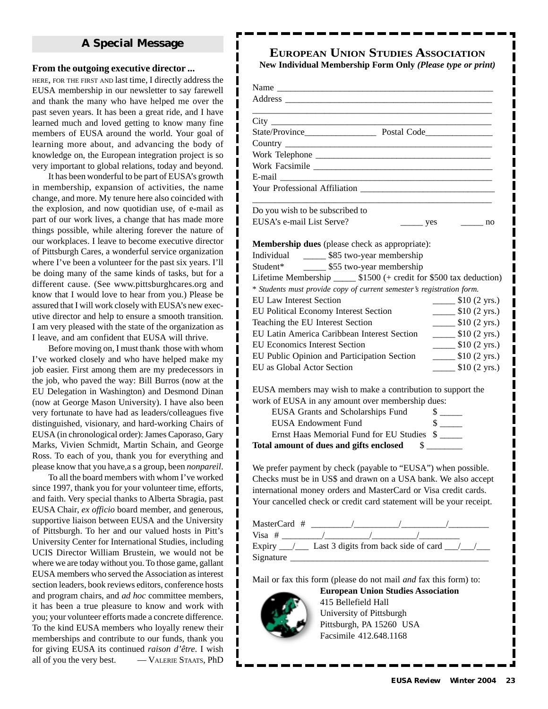#### **A Special Message**

#### **From the outgoing executive director ...**

HERE, FOR THE FIRST AND last time, I directly address the EUSA membership in our newsletter to say farewell and thank the many who have helped me over the past seven years. It has been a great ride, and I have learned much and loved getting to know many fine members of EUSA around the world. Your goal of learning more about, and advancing the body of knowledge on, the European integration project is so very important to global relations, today and beyond.

It has been wonderful to be part of EUSA's growth in membership, expansion of activities, the name change, and more. My tenure here also coincided with the explosion, and now quotidian use, of e-mail as part of our work lives, a change that has made more things possible, while altering forever the nature of our workplaces. I leave to become executive director of Pittsburgh Cares, a wonderful service organization where I've been a volunteer for the past six years. I'll be doing many of the same kinds of tasks, but for a different cause. (See www.pittsburghcares.org and know that I would love to hear from you.) Please be assured that I will work closely with EUSA's new executive director and help to ensure a smooth transition. I am very pleased with the state of the organization as I leave, and am confident that EUSA will thrive.

Before moving on, I must thank those with whom I've worked closely and who have helped make my job easier. First among them are my predecessors in the job, who paved the way: Bill Burros (now at the EU Delegation in Washington) and Desmond Dinan (now at George Mason University). I have also been very fortunate to have had as leaders/colleagues five distinguished, visionary, and hard-working Chairs of EUSA (in chronological order): James Caporaso, Gary Marks, Vivien Schmidt, Martin Schain, and George Ross. To each of you, thank you for everything and please know that you have,a s a group, been *nonpareil*.

To all the board members with whom I've worked since 1997, thank you for your volunteer time, efforts, and faith. Very special thanks to Alberta Sbragia, past EUSA Chair, *ex officio* board member, and generous, supportive liaison between EUSA and the University of Pittsburgh. To her and our valued hosts in Pitt's University Center for International Studies, including UCIS Director William Brustein, we would not be where we are today without you. To those game, gallant EUSA members who served the Association as interest section leaders, book reviews editors, conference hosts and program chairs, and *ad hoc* committee members, it has been a true pleasure to know and work with you; your volunteer efforts made a concrete difference. To the kind EUSA members who loyally renew their memberships and contribute to our funds, thank you for giving EUSA its continued *raison d'être*. I wish all of you the very best. — VALERIE STAATS, PhD

# **EUROPEAN UNION STUDIES ASSOCIATION**

**New Individual Membership Form Only** *(Please type or print)*

| Work Telephone                                                                                                                        |
|---------------------------------------------------------------------------------------------------------------------------------------|
|                                                                                                                                       |
|                                                                                                                                       |
|                                                                                                                                       |
|                                                                                                                                       |
| Do you wish to be subscribed to                                                                                                       |
| EUSA's e-mail List Serve?<br>no no<br>yes                                                                                             |
|                                                                                                                                       |
| <b>Membership dues</b> (please check as appropriate):                                                                                 |
| Individual ________ \$85 two-year membership                                                                                          |
| Student* ________ \$55 two-year membership                                                                                            |
| Lifetime Membership _______ \$1500 (+ credit for \$500 tax deduction)                                                                 |
| * Students must provide copy of current semester's registration form.                                                                 |
| <b>EU Law Interest Section</b><br>$\frac{\text{I}}{\text{I}}$ \$10 (2 yrs.)                                                           |
| $\frac{\text{I}}{\text{I}}$ \$10 (2 yrs.)<br>EU Political Economy Interest Section                                                    |
| Teaching the EU Interest Section<br>$\frac{\text{I}}{\text{I}}$ \$10 (2 yrs.)                                                         |
| EU Latin America Caribbean Interest Section                                                                                           |
|                                                                                                                                       |
| $\frac{\text{I}}{\text{I}}$ \$10 (2 yrs.)<br>EU Economics Interest Section                                                            |
| $\frac{\text{I}}{\text{I}}$ \$10 (2 yrs.)<br>EU Public Opinion and Participation Section<br>$\frac{\text{I}}{\text{I}}$ \$10 (2 yrs.) |

EUSA members may wish to make a contribution to support the work of EUSA in any amount over membership dues:

| EUSA Grants and Scholarships Fund          |  |
|--------------------------------------------|--|
| <b>EUSA Endowment Fund</b>                 |  |
| Ernst Haas Memorial Fund for EU Studies \$ |  |
| Total amount of dues and gifts enclosed    |  |

We prefer payment by check (payable to "EUSA") when possible. Checks must be in US\$ and drawn on a USA bank. We also accept international money orders and MasterCard or Visa credit cards. Your cancelled check or credit card statement will be your receipt.

| MasterCard # |                                      |  |  |
|--------------|--------------------------------------|--|--|
| $Visa \#$    |                                      |  |  |
| Expiry       | Last 3 digits from back side of card |  |  |
| Signature    |                                      |  |  |

Mail or fax this form (please do not mail *and* fax this form) to:



ı

415 Bellefield Hall University of Pittsburgh Pittsburgh, PA 15260 USA Facsimile 412.648.1168

**European Union Studies Association**